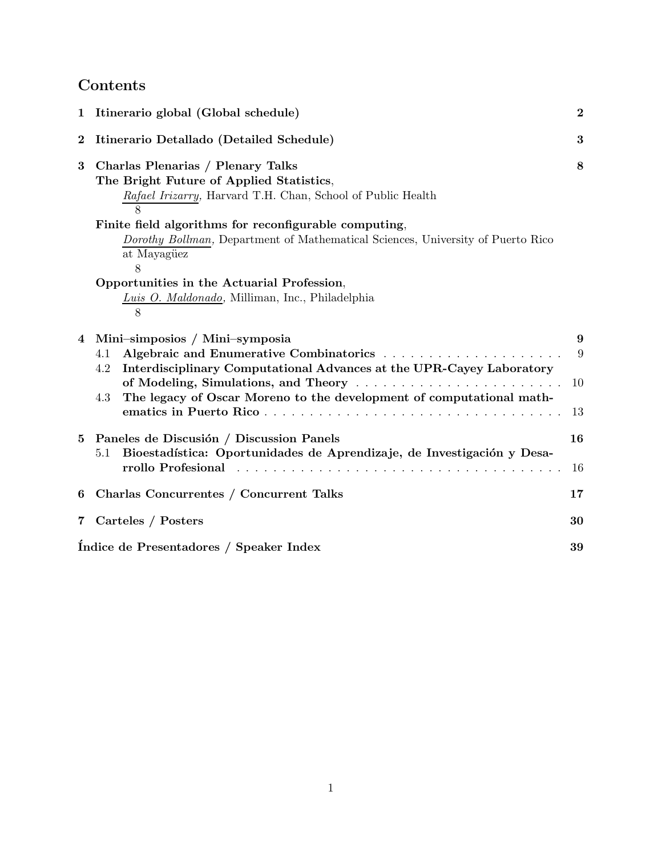# Contents

| 1              | Itinerario global (Global schedule)                                                                                                                                                                                                                                                                          | $\bf{2}$           |
|----------------|--------------------------------------------------------------------------------------------------------------------------------------------------------------------------------------------------------------------------------------------------------------------------------------------------------------|--------------------|
| $\bf{2}$       | Itinerario Detallado (Detailed Schedule)                                                                                                                                                                                                                                                                     | 3                  |
| 3              | Charlas Plenarias / Plenary Talks<br>The Bright Future of Applied Statistics,<br>Rafael Irizarry, Harvard T.H. Chan, School of Public Health<br>Finite field algorithms for reconfigurable computing,<br>Dorothy Bollman, Department of Mathematical Sciences, University of Puerto Rico<br>at Mayagüez<br>8 | 8                  |
|                | Opportunities in the Actuarial Profession,<br>Luis O. Maldonado, Milliman, Inc., Philadelphia<br>8                                                                                                                                                                                                           |                    |
| 4              | Mini-simposios / Mini-symposia<br>4.1<br>Interdisciplinary Computational Advances at the UPR-Cayey Laboratory<br>4.2<br>of Modeling, Simulations, and Theory<br>The legacy of Oscar Moreno to the development of computational math-<br>4.3                                                                  | 9<br>9<br>10<br>13 |
| 5              | Paneles de Discusión / Discussion Panels<br>Bioestadística: Oportunidades de Aprendizaje, de Investigación y Desa-<br>5.1<br>rrollo Profesional                                                                                                                                                              | 16<br>16           |
| 6              | Charlas Concurrentes / Concurrent Talks                                                                                                                                                                                                                                                                      | 17                 |
| $\overline{7}$ | Carteles / Posters                                                                                                                                                                                                                                                                                           | 30                 |
|                | Indice de Presentadores / Speaker Index                                                                                                                                                                                                                                                                      | 39                 |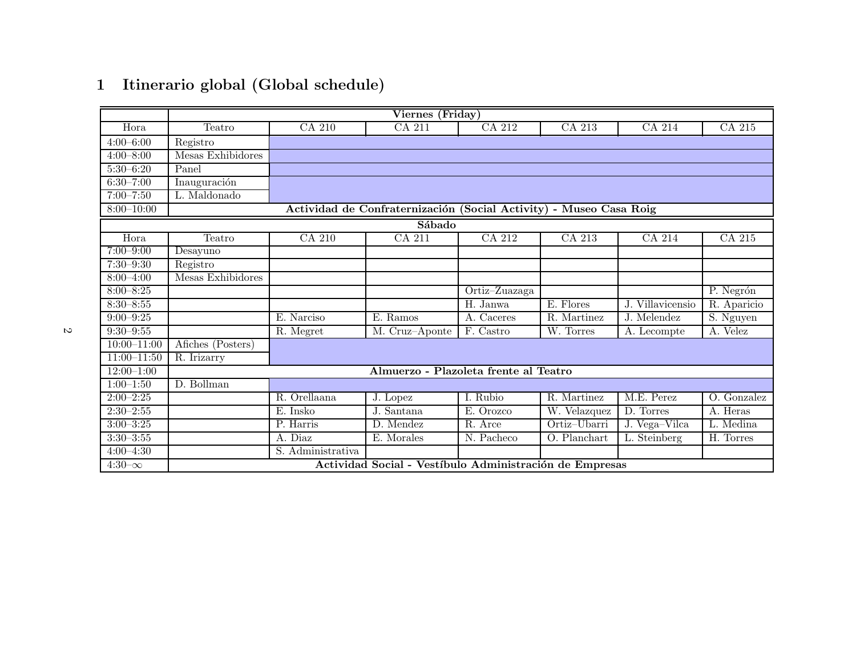|                 |                   |                                  | Viernes (Friday)                                                   |               |              |                           |             |
|-----------------|-------------------|----------------------------------|--------------------------------------------------------------------|---------------|--------------|---------------------------|-------------|
| Hora            | Teatro            | CA 210                           | CA 211                                                             | CA 212        | CA 213       | CA 214                    | CA 215      |
| $4:00-6:00$     | Registro          |                                  |                                                                    |               |              |                           |             |
| $4:00 - 8:00$   | Mesas Exhibidores |                                  |                                                                    |               |              |                           |             |
| $5:30-6:20$     | Panel             |                                  |                                                                    |               |              |                           |             |
| $6:30 - 7:00$   | Inauguración      |                                  |                                                                    |               |              |                           |             |
| $7:00 - 7:50$   | L. Maldonado      |                                  |                                                                    |               |              |                           |             |
| $8:00 - 10:00$  |                   |                                  | Actividad de Confraternización (Social Activity) - Museo Casa Roig |               |              |                           |             |
|                 |                   |                                  | Sábado                                                             |               |              |                           |             |
| Hora            | Teatro            | CA 210                           | CA 211                                                             | CA 212        | CA 213       | CA 214                    | CA 215      |
| $7:00 - 9:00$   | Desayuno          |                                  |                                                                    |               |              |                           |             |
| $7:30 - 9:30$   | Registro          |                                  |                                                                    |               |              |                           |             |
| $8:00 - 4:00$   | Mesas Exhibidores |                                  |                                                                    |               |              |                           |             |
| $8:00 - 8:25$   |                   |                                  |                                                                    | Ortiz-Zuazaga |              |                           | P. Negrón   |
| $8:30 - 8:55$   |                   |                                  |                                                                    | H. Janwa      | E. Flores    | J. Villavicensio          | R. Aparicio |
| $9:00 - 9:25$   |                   | E. Narciso                       | E. Ramos                                                           | A. Caceres    | R. Martinez  | J. Melendez               | S. Nguyen   |
| $9:30 - 9:55$   |                   | $\overline{\mathrm{R}}$ . Megret | M. Cruz-Aponte                                                     | F. Castro     | W. Torres    | $\overline{A}$ . Lecompte | A. Velez    |
| $10:00 - 11:00$ | Afiches (Posters) |                                  |                                                                    |               |              |                           |             |
| $11:00-11:50$   | R. Irizarry       |                                  |                                                                    |               |              |                           |             |
| $12:00-1:00$    |                   |                                  | Almuerzo - Plazoleta frente al Teatro                              |               |              |                           |             |
| $1:00-1:50$     | D. Bollman        |                                  |                                                                    |               |              |                           |             |
| $2:00 - 2:25$   |                   | R. Orellaana                     | J. Lopez                                                           | I. Rubio      | R. Martinez  | M.E. Perez                | O. Gonzalez |
| $2:30 - 2:55$   |                   | E. Insko                         | J. Santana                                                         | E. Orozco     | W. Velazquez | D. Torres                 | A. Heras    |
| $3:00 - 3:25$   |                   | P. Harris                        | D. Mendez                                                          | R. Arce       | Ortiz-Ubarri | J. Vega-Vilca             | L. Medina   |
| $3:30 - 3:55$   |                   | A. Diaz                          | E. Morales                                                         | $N.$ Pacheco  | O. Planchart | L. Steinberg              | H. Torres   |
| $4:00 - 4:30$   |                   | S. Administrativa                |                                                                    |               |              |                           |             |
| $4:30-\infty$   |                   |                                  | Actividad Social - Vestíbulo Administración de Empresas            |               |              |                           |             |

# <sup>1</sup> Itinerario <sup>g</sup>lobal (Global schedule)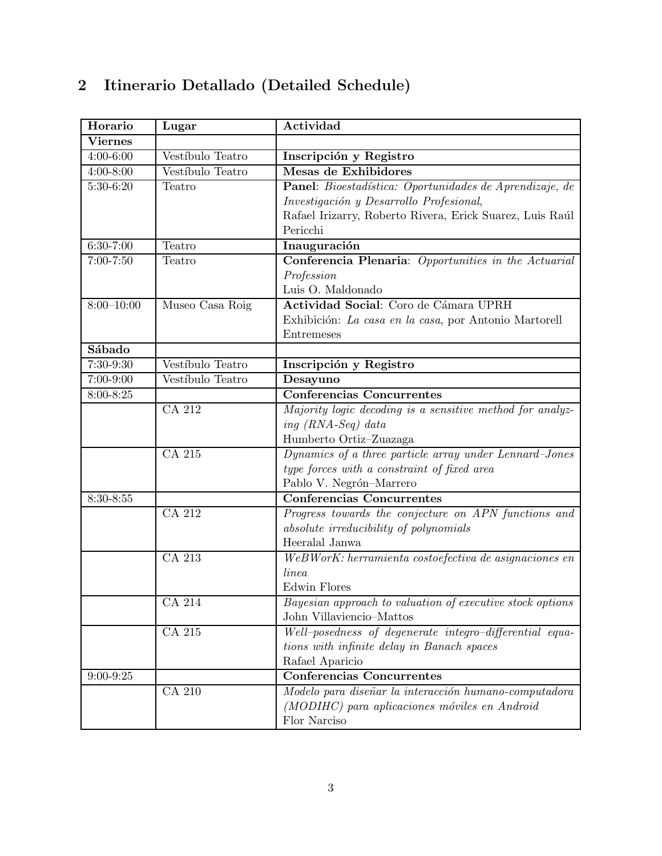| Horario        | Lugar            | Actividad                                                 |
|----------------|------------------|-----------------------------------------------------------|
| <b>Viernes</b> |                  |                                                           |
| $4:00-6:00$    | Vestíbulo Teatro | Inscripción y Registro                                    |
| $4:00 - 8:00$  | Vestíbulo Teatro | Mesas de Exhibidores                                      |
| $5:30-6:20$    | Teatro           | Panel: Bioestadística: Oportunidades de Aprendizaje, de   |
|                |                  | Investigación y Desarrollo Profesional,                   |
|                |                  | Rafael Irizarry, Roberto Rivera, Erick Suarez, Luis Raúl  |
|                |                  | Pericchi                                                  |
| $6:30-7:00$    | Teatro           | Inauguración                                              |
| $7:00 - 7:50$  | Teatro           | Conferencia Plenaria: Opportunities in the Actuarial      |
|                |                  | Profession                                                |
|                |                  | Luis O. Maldonado                                         |
| $8:00 - 10:00$ | Museo Casa Roig  | Actividad Social: Coro de Cámara UPRH                     |
|                |                  | Exhibición: La casa en la casa, por Antonio Martorell     |
|                |                  | Entremeses                                                |
| Sábado         |                  |                                                           |
| $7:30-9:30$    | Vestíbulo Teatro | Inscripción y Registro                                    |
| $7:00-9:00$    | Vestíbulo Teatro | Desayuno                                                  |
| 8:00-8:25      |                  | <b>Conferencias Concurrentes</b>                          |
|                | CA 212           | Majority logic decoding is a sensitive method for analyz- |
|                |                  | ing $(RNA-Seq)$ data                                      |
|                |                  | Humberto Ortiz-Zuazaga                                    |
|                | CA 215           | Dynamics of a three particle array under Lennard-Jones    |
|                |                  | type forces with a constraint of fixed area               |
|                |                  | Pablo V. Negrón-Marrero                                   |
| $8:30 - 8:55$  |                  | <b>Conferencias Concurrentes</b>                          |
|                | CA 212           | Progress towards the conjecture on APN functions and      |
|                |                  | absolute irreducibility of polynomials                    |
|                |                  | Heeralal Janwa                                            |
|                | CA 213           | WeBWorK: herramienta costoefectiva de asignaciones en     |
|                |                  | linea                                                     |
|                |                  | <b>Edwin Flores</b>                                       |
|                | <b>CA 214</b>    | Bayesian approach to valuation of executive stock options |
|                |                  | John Villaviencio-Mattos                                  |
|                | CA 215           | Well-posedness of degenerate integro-differential equa-   |
|                |                  | tions with infinite delay in Banach spaces                |
|                |                  | Rafael Aparicio                                           |
| $9:00 - 9:25$  |                  | <b>Conferencias Concurrentes</b>                          |
|                | CA 210           | Modelo para diseñar la interacción humano-computadora     |
|                |                  | (MODIHC) para aplicaciones móviles en Android             |
|                |                  | Flor Narciso                                              |

# 2 Itinerario Detallado (Detailed Schedule)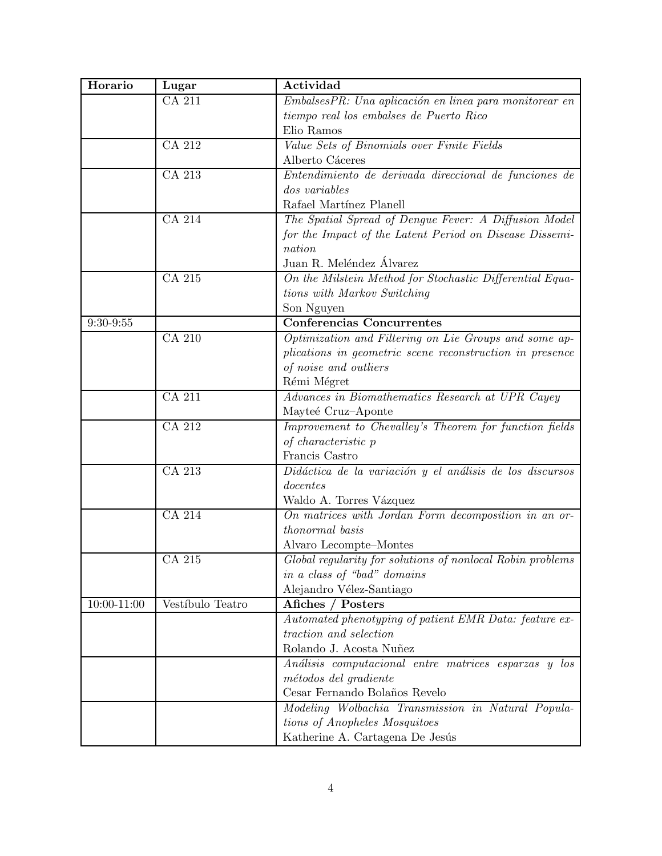| Horario     | Lugar            | Actividad                                                  |
|-------------|------------------|------------------------------------------------------------|
|             | CA 211           | EmbalsesPR: Una aplicación en linea para monitorear en     |
|             |                  | tiempo real los embalses de Puerto Rico                    |
|             |                  | Elio Ramos                                                 |
|             | CA 212           | Value Sets of Binomials over Finite Fields                 |
|             |                  | Alberto Cáceres                                            |
|             | CA 213           | Entendimiento de derivada direccional de funciones de      |
|             |                  | <i>dos variables</i>                                       |
|             |                  | Rafael Martínez Planell                                    |
|             | CA 214           | The Spatial Spread of Dengue Fever: A Diffusion Model      |
|             |                  | for the Impact of the Latent Period on Disease Dissemi-    |
|             |                  | nation                                                     |
|             |                  | Juan R. Meléndez Álvarez                                   |
|             | CA 215           | On the Milstein Method for Stochastic Differential Equa-   |
|             |                  | tions with Markov Switching                                |
|             |                  | Son Nguyen                                                 |
| $9:30-9:55$ |                  | <b>Conferencias Concurrentes</b>                           |
|             | CA 210           | Optimization and Filtering on Lie Groups and some ap-      |
|             |                  | plications in geometric scene reconstruction in presence   |
|             |                  | of noise and outliers                                      |
|             |                  | Rémi Mégret                                                |
|             | CA 211           | Advances in Biomathematics Research at UPR Cayey           |
|             |                  | Mayteé Cruz-Aponte                                         |
|             | CA 212           | Improvement to Chevalley's Theorem for function fields     |
|             |                  | of characteristic p                                        |
|             |                  | Francis Castro                                             |
|             | CA 213           | Didáctica de la variación y el análisis de los discursos   |
|             |                  | docentes                                                   |
|             |                  | Waldo A. Torres Vázquez                                    |
|             | CA 214           | On matrices with Jordan Form decomposition in an or-       |
|             |                  | thonormal basis                                            |
|             |                  | Alvaro Lecompte-Montes                                     |
|             | CA 215           | Global regularity for solutions of nonlocal Robin problems |
|             |                  | in a class of "bad" domains                                |
|             |                  | Alejandro Vélez-Santiago                                   |
| 10:00-11:00 | Vestíbulo Teatro | Afiches / Posters                                          |
|             |                  | Automated phenotyping of patient EMR Data: feature ex-     |
|             |                  | traction and selection                                     |
|             |                  | Rolando J. Acosta Nuñez                                    |
|             |                  | Análisis computacional entre matrices esparzas y los       |
|             |                  | métodos del gradiente                                      |
|             |                  | Cesar Fernando Bolaños Revelo                              |
|             |                  | Modeling Wolbachia Transmission in Natural Popula-         |
|             |                  | tions of Anopheles Mosquitoes                              |
|             |                  | Katherine A. Cartagena De Jesús                            |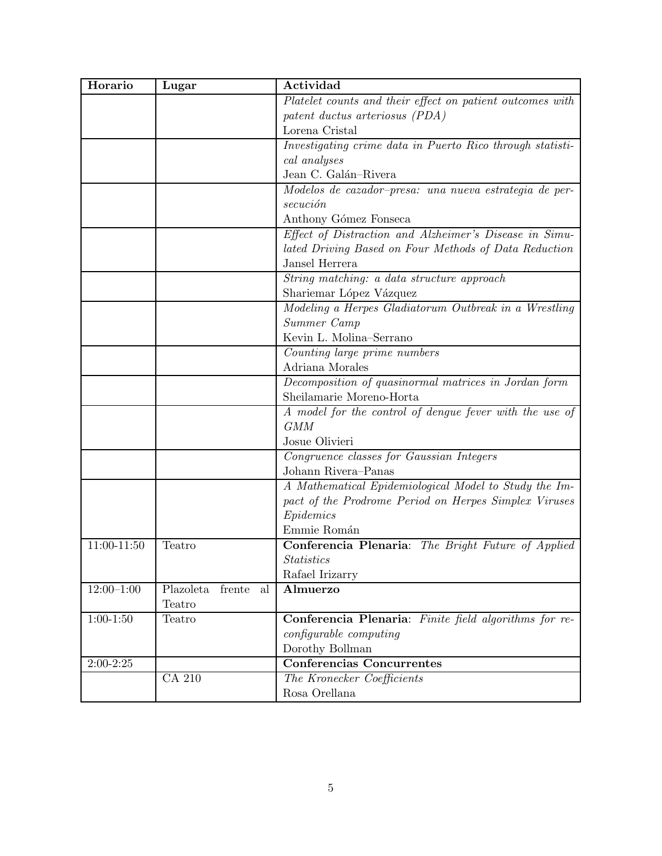| Horario        | Lugar                     | Actividad                                                 |
|----------------|---------------------------|-----------------------------------------------------------|
|                |                           | Platelet counts and their effect on patient outcomes with |
|                |                           | patent ductus arteriosus (PDA)                            |
|                |                           | Lorena Cristal                                            |
|                |                           | Investigating crime data in Puerto Rico through statisti- |
|                |                           | cal analyses                                              |
|                |                           | Jean C. Galán-Rivera                                      |
|                |                           | Modelos de cazador-presa: una nueva estrategia de per-    |
|                |                           | secución                                                  |
|                |                           | Anthony Gómez Fonseca                                     |
|                |                           | Effect of Distraction and Alzheimer's Disease in Simu-    |
|                |                           | lated Driving Based on Four Methods of Data Reduction     |
|                |                           | Jansel Herrera                                            |
|                |                           | String matching: a data structure approach                |
|                |                           | Shariemar López Vázquez                                   |
|                |                           | Modeling a Herpes Gladiatorum Outbreak in a Wrestling     |
|                |                           | Summer Camp                                               |
|                |                           | Kevin L. Molina-Serrano                                   |
|                |                           | Counting large prime numbers                              |
|                |                           | Adriana Morales                                           |
|                |                           | Decomposition of quasinormal matrices in Jordan form      |
|                |                           | Sheilamarie Moreno-Horta                                  |
|                |                           | A model for the control of dengue fever with the use of   |
|                |                           | <b>GMM</b>                                                |
|                |                           | Josue Olivieri                                            |
|                |                           | Congruence classes for Gaussian Integers                  |
|                |                           | Johann Rivera-Panas                                       |
|                |                           | A Mathematical Epidemiological Model to Study the Im-     |
|                |                           | pact of the Prodrome Period on Herpes Simplex Viruses     |
|                |                           | Epidemics                                                 |
|                |                           | Emmie Román                                               |
| $11:00-11:50$  | Teatro                    | Conferencia Plenaria: The Bright Future of Applied        |
|                |                           | <i>Statistics</i>                                         |
|                |                           | Rafael Irizarry                                           |
| $12:00 - 1:00$ | Plazoleta<br>frente<br>al | Almuerzo                                                  |
|                | Teatro                    |                                                           |
| $1:00-1:50$    | Teatro                    | Conferencia Plenaria: Finite field algorithms for re-     |
|                |                           | configurable computing                                    |
|                |                           | Dorothy Bollman                                           |
| $2:00-2:25$    |                           | <b>Conferencias Concurrentes</b>                          |
|                | CA 210                    | The Kronecker Coefficients                                |
|                |                           | Rosa Orellana                                             |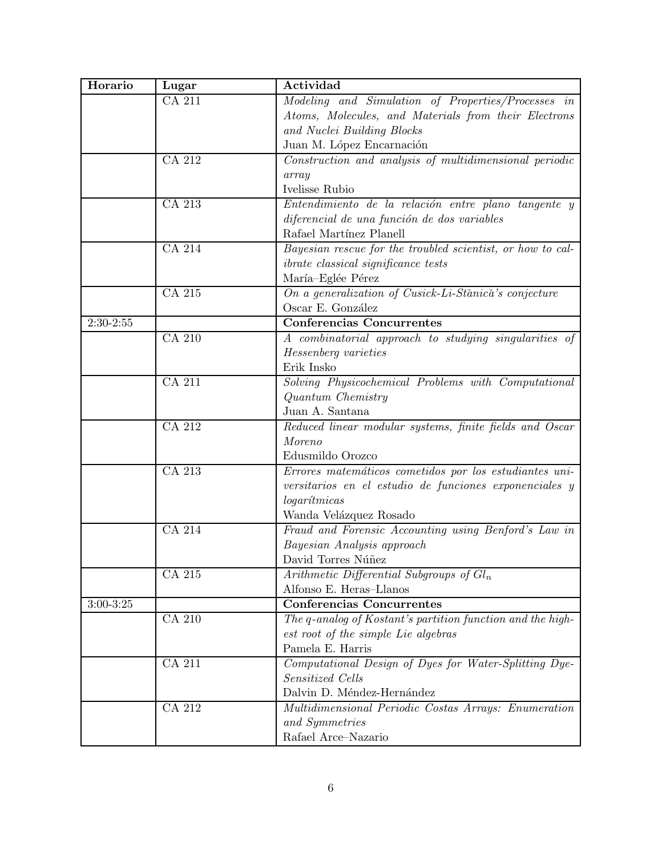| Horario       | Lugar         | Actividad                                                  |
|---------------|---------------|------------------------------------------------------------|
|               | CA 211        | Modeling and Simulation of Properties/Processes in         |
|               |               | Atoms, Molecules, and Materials from their Electrons       |
|               |               | and Nuclei Building Blocks                                 |
|               |               | Juan M. López Encarnación                                  |
|               | CA 212        | $Construction$ and analysis of multidimensional periodic   |
|               |               | array                                                      |
|               |               | Ivelisse Rubio                                             |
|               | CA 213        | Entendimiento de la relación entre plano tangente y        |
|               |               | diferencial de una función de dos variables                |
|               |               | Rafael Martínez Planell                                    |
|               | CA 214        | Bayesian rescue for the troubled scientist, or how to cal- |
|               |               | <i>ibrate classical significance tests</i>                 |
|               |               | María-Eglée Pérez                                          |
|               | CA 215        | On a generalization of Cusick-Li-Stănică's conjecture      |
|               |               | Oscar E. González                                          |
| $2:30-2:55$   |               | <b>Conferencias Concurrentes</b>                           |
|               | CA 210        | A combinatorial approach to studying singularities of      |
|               |               | Hessenberg varieties                                       |
|               |               | Erik Insko                                                 |
|               | <b>CA 211</b> | Solving Physicochemical Problems with Computational        |
|               |               | Quantum Chemistry                                          |
|               |               | Juan A. Santana                                            |
|               | CA 212        | Reduced linear modular systems, finite fields and Oscar    |
|               |               | Moreno                                                     |
|               |               | Edusmildo Orozco                                           |
|               | CA 213        | Errores matemáticos cometidos por los estudiantes uni-     |
|               |               | versitarios en el estudio de funciones exponenciales y     |
|               |               | logarítmicas                                               |
|               |               | Wanda Velázquez Rosado                                     |
|               | CA 214        | Fraud and Forensic Accounting using Benford's Law in       |
|               |               | Bayesian Analysis approach                                 |
|               |               | David Torres Núñez                                         |
|               | CA 215        | Arithmetic Differential Subgroups of $Gl_n$                |
|               |               | Alfonso E. Heras-Llanos                                    |
| $3:00 - 3:25$ |               | <b>Conferencias Concurrentes</b>                           |
|               | <b>CA 210</b> | The q-analog of Kostant's partition function and the high- |
|               |               | est root of the simple Lie algebras                        |
|               |               | Pamela E. Harris                                           |
|               | CA 211        | Computational Design of Dyes for Water-Splitting Dye-      |
|               |               | Sensitized Cells                                           |
|               |               | Dalvin D. Méndez-Hernández                                 |
|               | CA 212        | Multidimensional Periodic Costas Arrays: Enumeration       |
|               |               | and Symmetries                                             |
|               |               | Rafael Arce-Nazario                                        |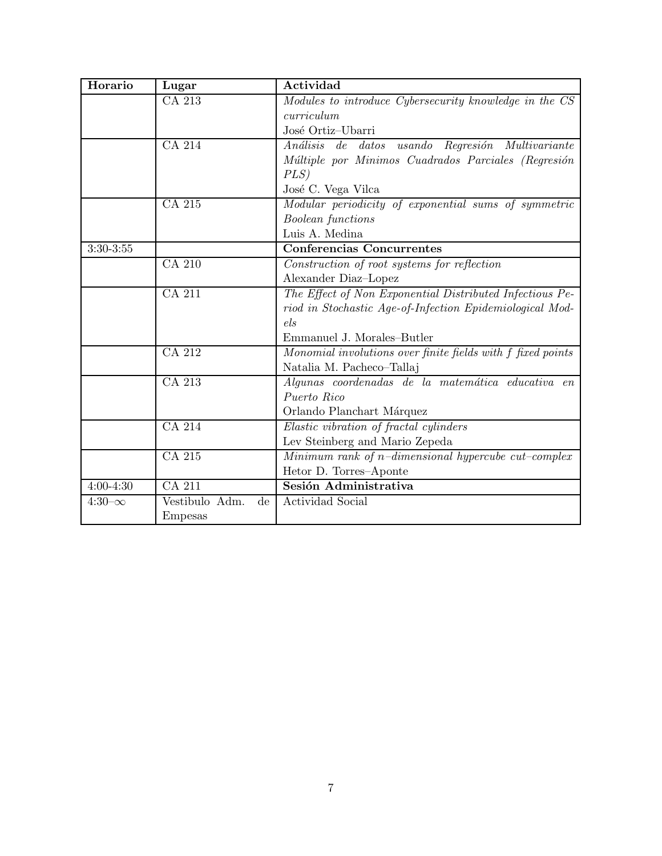| Horario       | Lugar                                    | Actividad                                                   |
|---------------|------------------------------------------|-------------------------------------------------------------|
|               | CA 213                                   | Modules to introduce Cybersecurity knowledge in the CS      |
|               |                                          | curriculum                                                  |
|               |                                          | José Ortiz-Ubarri                                           |
|               | CA 214                                   | Análisis de<br>datos usando Regresión Multivariante         |
|               |                                          | Múltiple por Minimos Cuadrados Parciales (Regresión         |
|               |                                          | PLS)                                                        |
|               |                                          | José C. Vega Vilca                                          |
|               | CA 215                                   | Modular periodicity of exponential sums of symmetric        |
|               |                                          | <b>Boolean</b> functions                                    |
|               |                                          | Luis A. Medina                                              |
| $3:30-3:55$   |                                          | <b>Conferencias Concurrentes</b>                            |
|               | CA 210                                   | Construction of root systems for reflection                 |
|               |                                          | Alexander Diaz-Lopez                                        |
|               | CA 211                                   | The Effect of Non Exponential Distributed Infectious Pe-    |
|               |                                          | riod in Stochastic Age-of-Infection Epidemiological Mod-    |
|               |                                          | els                                                         |
|               |                                          | Emmanuel J. Morales-Butler                                  |
|               | CA 212                                   | Monomial involutions over finite fields with f fixed points |
|               |                                          | Natalia M. Pacheco-Tallaj                                   |
|               | CA 213                                   | Algunas coordenadas de la matemática educativa en           |
|               |                                          | Puerto Rico                                                 |
|               |                                          | Orlando Planchart Márquez                                   |
|               | CA 214                                   | Elastic vibration of fractal cylinders                      |
|               |                                          | Lev Steinberg and Mario Zepeda                              |
|               | CA 215                                   | Minimum rank of $n$ -dimensional hypercube cut-complex      |
|               |                                          | Hetor D. Torres-Aponte                                      |
| $4:00 - 4:30$ | CA 211                                   | Sesión Administrativa                                       |
| $4:30-\infty$ | Vestibulo Adm.<br>$\mathrm{d}\mathrm{e}$ | Actividad Social                                            |
|               | <b>Empesas</b>                           |                                                             |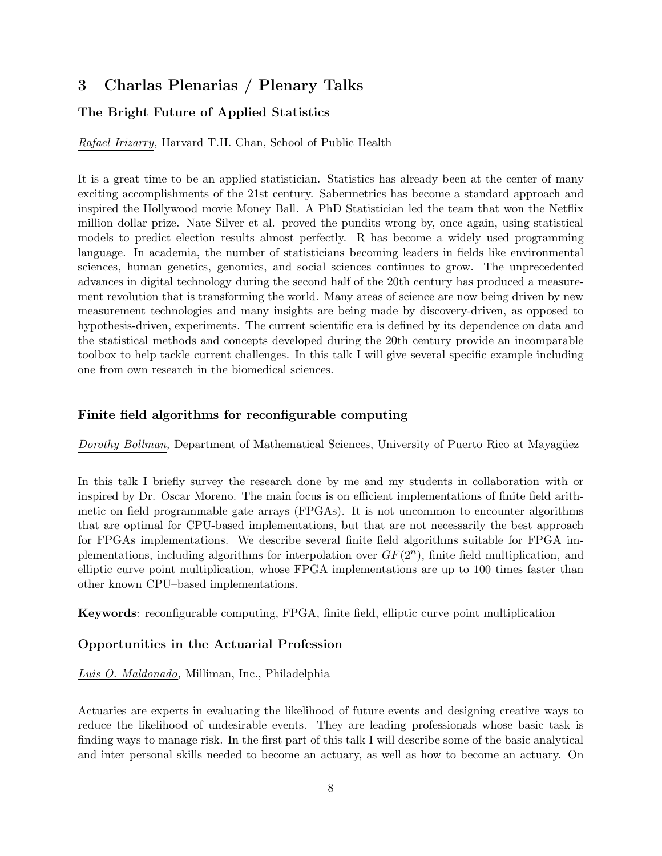# 3 Charlas Plenarias / Plenary Talks

## The Bright Future of Applied Statistics

Rafael Irizarry, Harvard T.H. Chan, School of Public Health

It is a great time to be an applied statistician. Statistics has already been at the center of many exciting accomplishments of the 21st century. Sabermetrics has become a standard approach and inspired the Hollywood movie Money Ball. A PhD Statistician led the team that won the Netflix million dollar prize. Nate Silver et al. proved the pundits wrong by, once again, using statistical models to predict election results almost perfectly. R has become a widely used programming language. In academia, the number of statisticians becoming leaders in fields like environmental sciences, human genetics, genomics, and social sciences continues to grow. The unprecedented advances in digital technology during the second half of the 20th century has produced a measurement revolution that is transforming the world. Many areas of science are now being driven by new measurement technologies and many insights are being made by discovery-driven, as opposed to hypothesis-driven, experiments. The current scientific era is defined by its dependence on data and the statistical methods and concepts developed during the 20th century provide an incomparable toolbox to help tackle current challenges. In this talk I will give several specific example including one from own research in the biomedical sciences.

## Finite field algorithms for reconfigurable computing

Dorothy Bollman, Department of Mathematical Sciences, University of Puerto Rico at Mayagüez

In this talk I briefly survey the research done by me and my students in collaboration with or inspired by Dr. Oscar Moreno. The main focus is on efficient implementations of finite field arithmetic on field programmable gate arrays (FPGAs). It is not uncommon to encounter algorithms that are optimal for CPU-based implementations, but that are not necessarily the best approach for FPGAs implementations. We describe several finite field algorithms suitable for FPGA implementations, including algorithms for interpolation over  $GF(2<sup>n</sup>)$ , finite field multiplication, and elliptic curve point multiplication, whose FPGA implementations are up to 100 times faster than other known CPU–based implementations.

Keywords: reconfigurable computing, FPGA, finite field, elliptic curve point multiplication

#### Opportunities in the Actuarial Profession

#### Luis O. Maldonado, Milliman, Inc., Philadelphia

Actuaries are experts in evaluating the likelihood of future events and designing creative ways to reduce the likelihood of undesirable events. They are leading professionals whose basic task is finding ways to manage risk. In the first part of this talk I will describe some of the basic analytical and inter personal skills needed to become an actuary, as well as how to become an actuary. On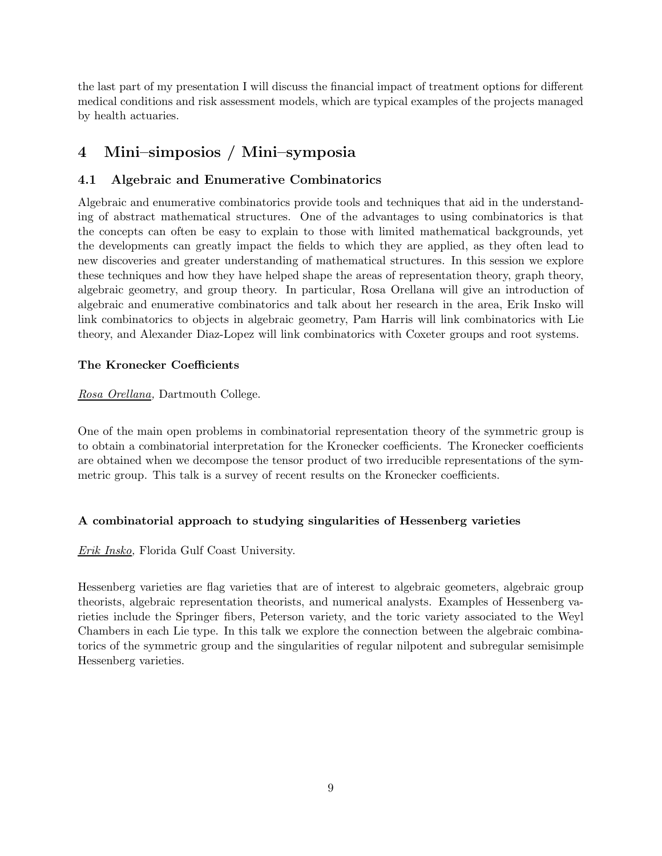the last part of my presentation I will discuss the financial impact of treatment options for different medical conditions and risk assessment models, which are typical examples of the projects managed by health actuaries.

# 4 Mini–simposios / Mini–symposia

## 4.1 Algebraic and Enumerative Combinatorics

Algebraic and enumerative combinatorics provide tools and techniques that aid in the understanding of abstract mathematical structures. One of the advantages to using combinatorics is that the concepts can often be easy to explain to those with limited mathematical backgrounds, yet the developments can greatly impact the fields to which they are applied, as they often lead to new discoveries and greater understanding of mathematical structures. In this session we explore these techniques and how they have helped shape the areas of representation theory, graph theory, algebraic geometry, and group theory. In particular, Rosa Orellana will give an introduction of algebraic and enumerative combinatorics and talk about her research in the area, Erik Insko will link combinatorics to objects in algebraic geometry, Pam Harris will link combinatorics with Lie theory, and Alexander Diaz-Lopez will link combinatorics with Coxeter groups and root systems.

## The Kronecker Coefficients

Rosa Orellana, Dartmouth College.

One of the main open problems in combinatorial representation theory of the symmetric group is to obtain a combinatorial interpretation for the Kronecker coefficients. The Kronecker coefficients are obtained when we decompose the tensor product of two irreducible representations of the symmetric group. This talk is a survey of recent results on the Kronecker coefficients.

## A combinatorial approach to studying singularities of Hessenberg varieties

## Erik Insko, Florida Gulf Coast University.

Hessenberg varieties are flag varieties that are of interest to algebraic geometers, algebraic group theorists, algebraic representation theorists, and numerical analysts. Examples of Hessenberg varieties include the Springer fibers, Peterson variety, and the toric variety associated to the Weyl Chambers in each Lie type. In this talk we explore the connection between the algebraic combinatorics of the symmetric group and the singularities of regular nilpotent and subregular semisimple Hessenberg varieties.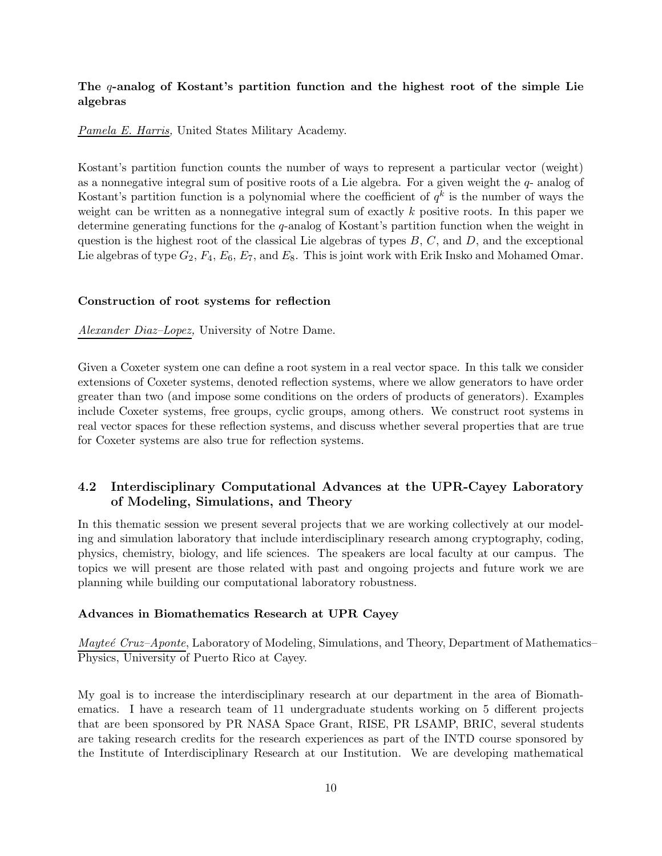#### The q-analog of Kostant's partition function and the highest root of the simple Lie algebras

Pamela E. Harris, United States Military Academy.

Kostant's partition function counts the number of ways to represent a particular vector (weight) as a nonnegative integral sum of positive roots of a Lie algebra. For a given weight the  $q$ - analog of Kostant's partition function is a polynomial where the coefficient of  $q^k$  is the number of ways the weight can be written as a nonnegative integral sum of exactly k positive roots. In this paper we determine generating functions for the q-analog of Kostant's partition function when the weight in question is the highest root of the classical Lie algebras of types  $B, C$ , and  $D$ , and the exceptional Lie algebras of type  $G_2$ ,  $F_4$ ,  $E_6$ ,  $E_7$ , and  $E_8$ . This is joint work with Erik Insko and Mohamed Omar.

#### Construction of root systems for reflection

Alexander Diaz–Lopez, University of Notre Dame.

Given a Coxeter system one can define a root system in a real vector space. In this talk we consider extensions of Coxeter systems, denoted reflection systems, where we allow generators to have order greater than two (and impose some conditions on the orders of products of generators). Examples include Coxeter systems, free groups, cyclic groups, among others. We construct root systems in real vector spaces for these reflection systems, and discuss whether several properties that are true for Coxeter systems are also true for reflection systems.

## 4.2 Interdisciplinary Computational Advances at the UPR-Cayey Laboratory of Modeling, Simulations, and Theory

In this thematic session we present several projects that we are working collectively at our modeling and simulation laboratory that include interdisciplinary research among cryptography, coding, physics, chemistry, biology, and life sciences. The speakers are local faculty at our campus. The topics we will present are those related with past and ongoing projects and future work we are planning while building our computational laboratory robustness.

#### Advances in Biomathematics Research at UPR Cayey

Maytee Cruz–Aponte, Laboratory of Modeling, Simulations, and Theory, Department of Mathematics– Physics, University of Puerto Rico at Cayey.

My goal is to increase the interdisciplinary research at our department in the area of Biomathematics. I have a research team of 11 undergraduate students working on 5 different projects that are been sponsored by PR NASA Space Grant, RISE, PR LSAMP, BRIC, several students are taking research credits for the research experiences as part of the INTD course sponsored by the Institute of Interdisciplinary Research at our Institution. We are developing mathematical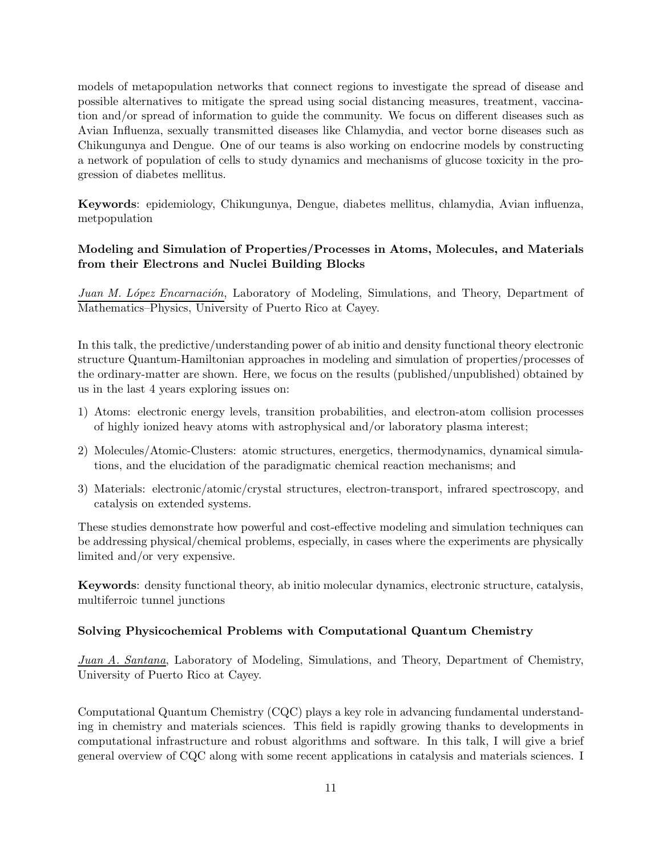models of metapopulation networks that connect regions to investigate the spread of disease and possible alternatives to mitigate the spread using social distancing measures, treatment, vaccination and/or spread of information to guide the community. We focus on different diseases such as Avian Influenza, sexually transmitted diseases like Chlamydia, and vector borne diseases such as Chikungunya and Dengue. One of our teams is also working on endocrine models by constructing a network of population of cells to study dynamics and mechanisms of glucose toxicity in the progression of diabetes mellitus.

Keywords: epidemiology, Chikungunya, Dengue, diabetes mellitus, chlamydia, Avian influenza, metpopulation

## Modeling and Simulation of Properties/Processes in Atoms, Molecules, and Materials from their Electrons and Nuclei Building Blocks

Juan M. López Encarnación, Laboratory of Modeling, Simulations, and Theory, Department of Mathematics–Physics, University of Puerto Rico at Cayey.

In this talk, the predictive/understanding power of ab initio and density functional theory electronic structure Quantum-Hamiltonian approaches in modeling and simulation of properties/processes of the ordinary-matter are shown. Here, we focus on the results (published/unpublished) obtained by us in the last 4 years exploring issues on:

- 1) Atoms: electronic energy levels, transition probabilities, and electron-atom collision processes of highly ionized heavy atoms with astrophysical and/or laboratory plasma interest;
- 2) Molecules/Atomic-Clusters: atomic structures, energetics, thermodynamics, dynamical simulations, and the elucidation of the paradigmatic chemical reaction mechanisms; and
- 3) Materials: electronic/atomic/crystal structures, electron-transport, infrared spectroscopy, and catalysis on extended systems.

These studies demonstrate how powerful and cost-effective modeling and simulation techniques can be addressing physical/chemical problems, especially, in cases where the experiments are physically limited and/or very expensive.

Keywords: density functional theory, ab initio molecular dynamics, electronic structure, catalysis, multiferroic tunnel junctions

#### Solving Physicochemical Problems with Computational Quantum Chemistry

Juan A. Santana, Laboratory of Modeling, Simulations, and Theory, Department of Chemistry, University of Puerto Rico at Cayey.

Computational Quantum Chemistry (CQC) plays a key role in advancing fundamental understanding in chemistry and materials sciences. This field is rapidly growing thanks to developments in computational infrastructure and robust algorithms and software. In this talk, I will give a brief general overview of CQC along with some recent applications in catalysis and materials sciences. I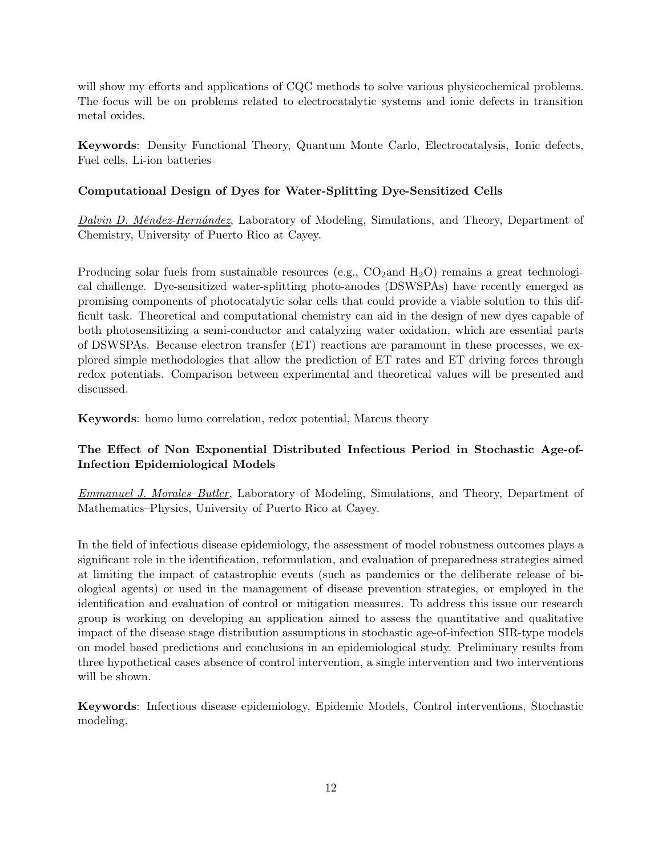will show my efforts and applications of CQC methods to solve various physicochemical problems. The focus will be on problems related to electrocatalytic systems and ionic defects in transition metal oxides.

Keywords: Density Functional Theory, Quantum Monte Carlo, Electrocatalysis, Ionic defects, Fuel cells, Li-ion batteries

## Computational Design of Dyes for Water-Splitting Dye-Sensitized Cells

Dalvin D. Méndez-Hernández, Laboratory of Modeling, Simulations, and Theory, Department of Chemistry, University of Puerto Rico at Cayey.

Producing solar fuels from sustainable resources (e.g.,  $CO_2$  and  $H_2O$ ) remains a great technological challenge. Dye-sensitized water-splitting photo-anodes (DSWSPAs) have recently emerged as promising components of photocatalytic solar cells that could provide a viable solution to this difficult task. Theoretical and computational chemistry can aid in the design of new dyes capable of both photosensitizing a semi-conductor and catalyzing water oxidation, which are essential parts of DSWSPAs. Because electron transfer (ET) reactions are paramount in these processes, we explored simple methodologies that allow the prediction of ET rates and ET driving forces through redox potentials. Comparison between experimental and theoretical values will be presented and discussed.

Keywords: homo lumo correlation, redox potential, Marcus theory

## The Effect of Non Exponential Distributed Infectious Period in Stochastic Age-of-Infection Epidemiological Models

Emmanuel J. Morales–Butler, Laboratory of Modeling, Simulations, and Theory, Department of Mathematics–Physics, University of Puerto Rico at Cayey.

In the field of infectious disease epidemiology, the assessment of model robustness outcomes plays a significant role in the identification, reformulation, and evaluation of preparedness strategies aimed at limiting the impact of catastrophic events (such as pandemics or the deliberate release of biological agents) or used in the management of disease prevention strategies, or employed in the identification and evaluation of control or mitigation measures. To address this issue our research group is working on developing an application aimed to assess the quantitative and qualitative impact of the disease stage distribution assumptions in stochastic age-of-infection SIR-type models on model based predictions and conclusions in an epidemiological study. Preliminary results from three hypothetical cases absence of control intervention, a single intervention and two interventions will be shown.

Keywords: Infectious disease epidemiology, Epidemic Models, Control interventions, Stochastic modeling.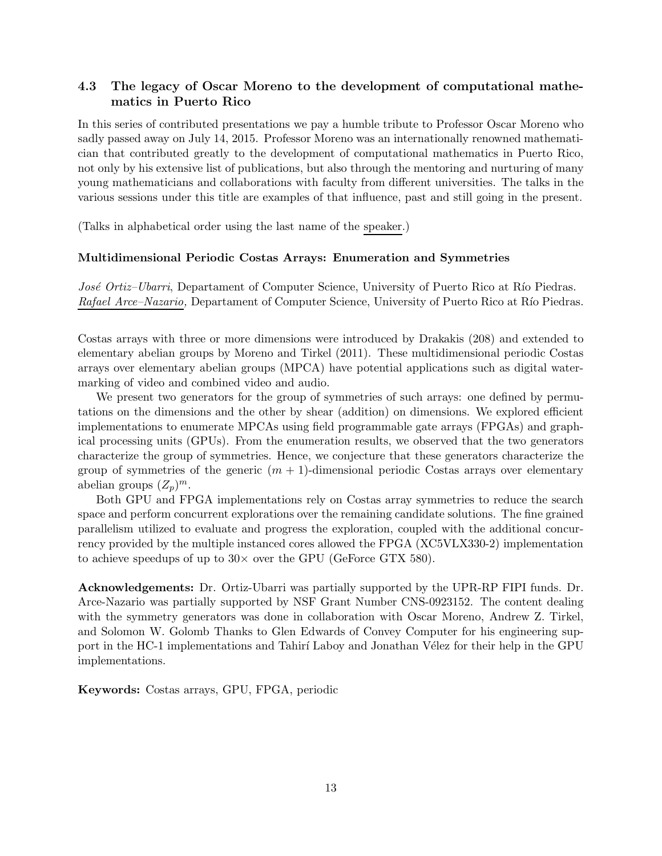## 4.3 The legacy of Oscar Moreno to the development of computational mathematics in Puerto Rico

In this series of contributed presentations we pay a humble tribute to Professor Oscar Moreno who sadly passed away on July 14, 2015. Professor Moreno was an internationally renowned mathematician that contributed greatly to the development of computational mathematics in Puerto Rico, not only by his extensive list of publications, but also through the mentoring and nurturing of many young mathematicians and collaborations with faculty from different universities. The talks in the various sessions under this title are examples of that influence, past and still going in the present.

(Talks in alphabetical order using the last name of the speaker.)

#### Multidimensional Periodic Costas Arrays: Enumeration and Symmetries

José Ortiz–Ubarri, Departament of Computer Science, University of Puerto Rico at Río Piedras. Rafael Arce–Nazario, Departament of Computer Science, University of Puerto Rico at Río Piedras.

Costas arrays with three or more dimensions were introduced by Drakakis (208) and extended to elementary abelian groups by Moreno and Tirkel (2011). These multidimensional periodic Costas arrays over elementary abelian groups (MPCA) have potential applications such as digital watermarking of video and combined video and audio.

We present two generators for the group of symmetries of such arrays: one defined by permutations on the dimensions and the other by shear (addition) on dimensions. We explored efficient implementations to enumerate MPCAs using field programmable gate arrays (FPGAs) and graphical processing units (GPUs). From the enumeration results, we observed that the two generators characterize the group of symmetries. Hence, we conjecture that these generators characterize the group of symmetries of the generic  $(m + 1)$ -dimensional periodic Costas arrays over elementary abelian groups  $(Z_p)^m$ .

Both GPU and FPGA implementations rely on Costas array symmetries to reduce the search space and perform concurrent explorations over the remaining candidate solutions. The fine grained parallelism utilized to evaluate and progress the exploration, coupled with the additional concurrency provided by the multiple instanced cores allowed the FPGA (XC5VLX330-2) implementation to achieve speedups of up to  $30\times$  over the GPU (GeForce GTX 580).

Acknowledgements: Dr. Ortiz-Ubarri was partially supported by the UPR-RP FIPI funds. Dr. Arce-Nazario was partially supported by NSF Grant Number CNS-0923152. The content dealing with the symmetry generators was done in collaboration with Oscar Moreno, Andrew Z. Tirkel, and Solomon W. Golomb Thanks to Glen Edwards of Convey Computer for his engineering support in the HC-1 implementations and Tahirí Laboy and Jonathan Vélez for their help in the GPU implementations.

Keywords: Costas arrays, GPU, FPGA, periodic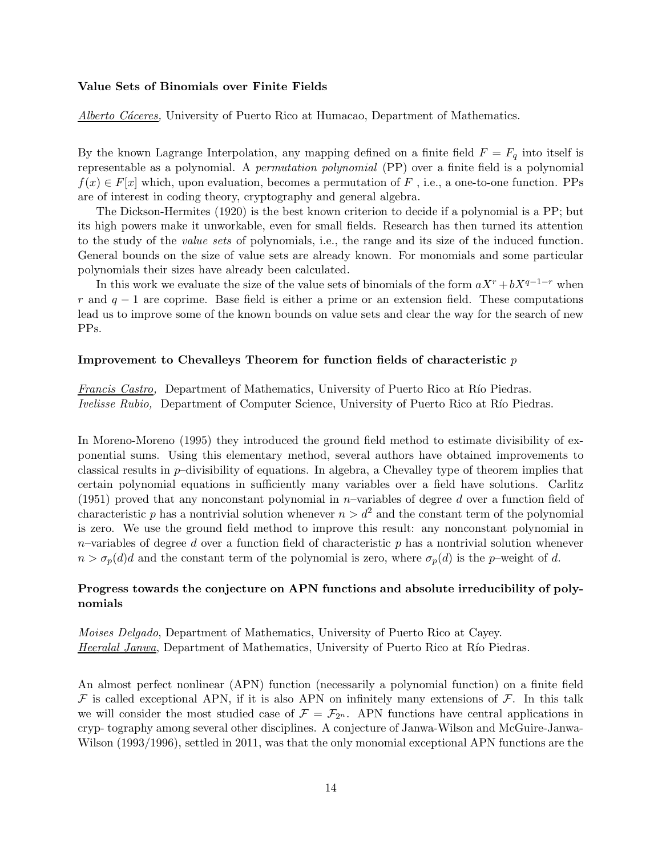#### Value Sets of Binomials over Finite Fields

Alberto Cáceres, University of Puerto Rico at Humacao, Department of Mathematics.

By the known Lagrange Interpolation, any mapping defined on a finite field  $F = F_q$  into itself is representable as a polynomial. A permutation polynomial (PP) over a finite field is a polynomial  $f(x) \in F[x]$  which, upon evaluation, becomes a permutation of F, i.e., a one-to-one function. PPs are of interest in coding theory, cryptography and general algebra.

The Dickson-Hermites (1920) is the best known criterion to decide if a polynomial is a PP; but its high powers make it unworkable, even for small fields. Research has then turned its attention to the study of the value sets of polynomials, i.e., the range and its size of the induced function. General bounds on the size of value sets are already known. For monomials and some particular polynomials their sizes have already been calculated.

In this work we evaluate the size of the value sets of binomials of the form  $aX^r + bX^{q-1-r}$  when r and  $q-1$  are coprime. Base field is either a prime or an extension field. These computations lead us to improve some of the known bounds on value sets and clear the way for the search of new PPs.

#### Improvement to Chevalleys Theorem for function fields of characteristic  $p$

Francis Castro, Department of Mathematics, University of Puerto Rico at Río Piedras. Ivelisse Rubio, Department of Computer Science, University of Puerto Rico at Río Piedras.

In Moreno-Moreno (1995) they introduced the ground field method to estimate divisibility of exponential sums. Using this elementary method, several authors have obtained improvements to classical results in p–divisibility of equations. In algebra, a Chevalley type of theorem implies that certain polynomial equations in sufficiently many variables over a field have solutions. Carlitz (1951) proved that any nonconstant polynomial in n–variables of degree d over a function field of characteristic p has a nontrivial solution whenever  $n > d^2$  and the constant term of the polynomial is zero. We use the ground field method to improve this result: any nonconstant polynomial in  $n$ –variables of degree d over a function field of characteristic p has a nontrivial solution whenever  $n > \sigma_p(d)d$  and the constant term of the polynomial is zero, where  $\sigma_p(d)$  is the p–weight of d.

#### Progress towards the conjecture on APN functions and absolute irreducibility of polynomials

Moises Delgado, Department of Mathematics, University of Puerto Rico at Cayey. Heeralal Janwa, Department of Mathematics, University of Puerto Rico at Río Piedras.

An almost perfect nonlinear (APN) function (necessarily a polynomial function) on a finite field  $\mathcal F$  is called exceptional APN, if it is also APN on infinitely many extensions of  $\mathcal F$ . In this talk we will consider the most studied case of  $\mathcal{F} = \mathcal{F}_{2^n}$ . APN functions have central applications in cryp- tography among several other disciplines. A conjecture of Janwa-Wilson and McGuire-Janwa-Wilson (1993/1996), settled in 2011, was that the only monomial exceptional APN functions are the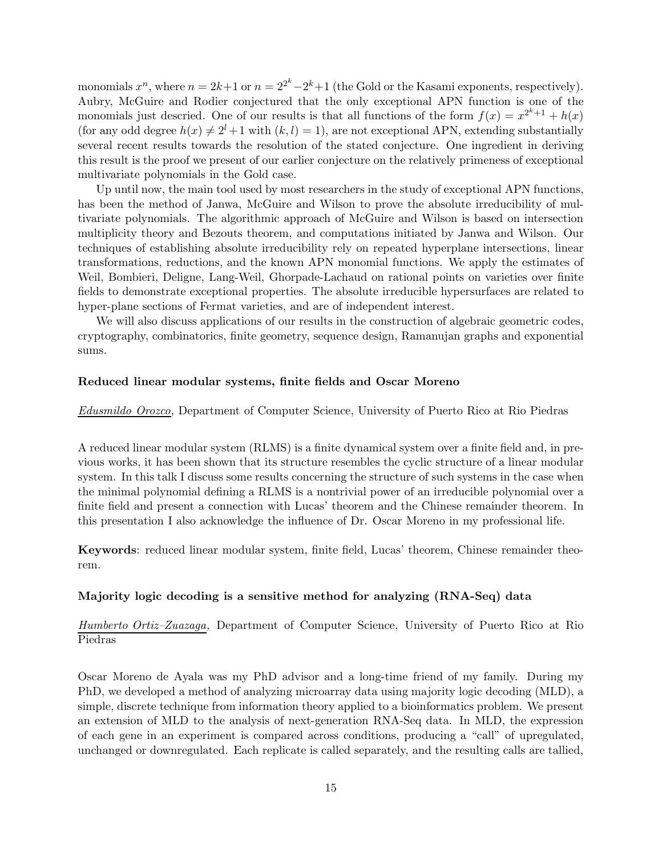monomials  $x^n$ , where  $n = 2k+1$  or  $n = 2^{2^k}-2^k+1$  (the Gold or the Kasami exponents, respectively). Aubry, McGuire and Rodier conjectured that the only exceptional APN function is one of the monomials just descried. One of our results is that all functions of the form  $f(x) = x^{2^k+1} + h(x)$ (for any odd degree  $h(x) \neq 2^{l} + 1$  with  $(k, l) = 1$ ), are not exceptional APN, extending substantially several recent results towards the resolution of the stated conjecture. One ingredient in deriving this result is the proof we present of our earlier conjecture on the relatively primeness of exceptional multivariate polynomials in the Gold case.

Up until now, the main tool used by most researchers in the study of exceptional APN functions, has been the method of Janwa, McGuire and Wilson to prove the absolute irreducibility of multivariate polynomials. The algorithmic approach of McGuire and Wilson is based on intersection multiplicity theory and Bezouts theorem, and computations initiated by Janwa and Wilson. Our techniques of establishing absolute irreducibility rely on repeated hyperplane intersections, linear transformations, reductions, and the known APN monomial functions. We apply the estimates of Weil, Bombieri, Deligne, Lang-Weil, Ghorpade-Lachaud on rational points on varieties over finite fields to demonstrate exceptional properties. The absolute irreducible hypersurfaces are related to hyper-plane sections of Fermat varieties, and are of independent interest.

We will also discuss applications of our results in the construction of algebraic geometric codes, cryptography, combinatorics, finite geometry, sequence design, Ramanujan graphs and exponential sums.

#### Reduced linear modular systems, finite fields and Oscar Moreno

Edusmildo Orozco, Department of Computer Science, University of Puerto Rico at Rio Piedras

A reduced linear modular system (RLMS) is a finite dynamical system over a finite field and, in previous works, it has been shown that its structure resembles the cyclic structure of a linear modular system. In this talk I discuss some results concerning the structure of such systems in the case when the minimal polynomial defining a RLMS is a nontrivial power of an irreducible polynomial over a finite field and present a connection with Lucas' theorem and the Chinese remainder theorem. In this presentation I also acknowledge the influence of Dr. Oscar Moreno in my professional life.

Keywords: reduced linear modular system, finite field, Lucas' theorem, Chinese remainder theorem.

#### Majority logic decoding is a sensitive method for analyzing (RNA-Seq) data

Humberto Ortiz–Zuazaga, Department of Computer Science, University of Puerto Rico at Rio Piedras

Oscar Moreno de Ayala was my PhD advisor and a long-time friend of my family. During my PhD, we developed a method of analyzing microarray data using majority logic decoding (MLD), a simple, discrete technique from information theory applied to a bioinformatics problem. We present an extension of MLD to the analysis of next-generation RNA-Seq data. In MLD, the expression of each gene in an experiment is compared across conditions, producing a "call" of upregulated, unchanged or downregulated. Each replicate is called separately, and the resulting calls are tallied,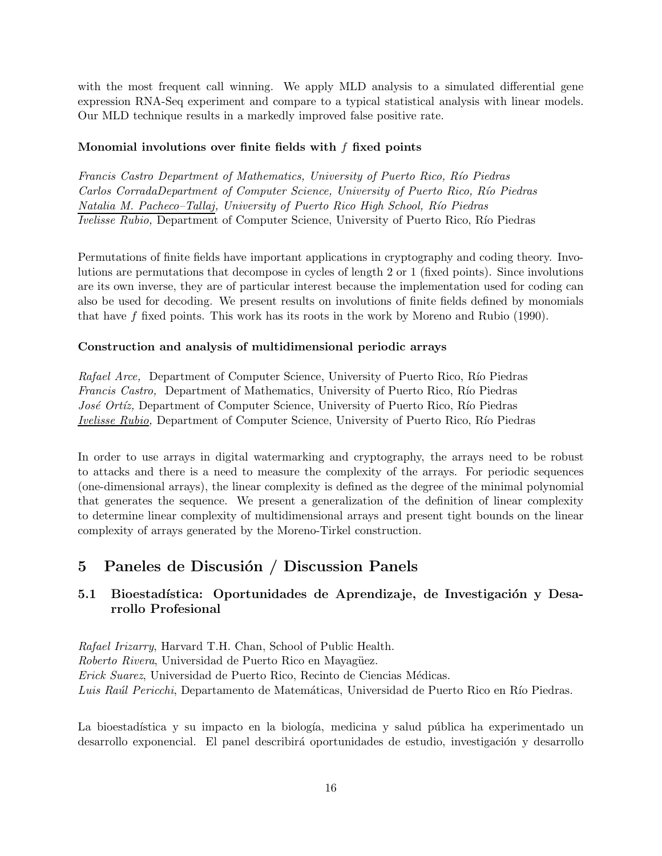with the most frequent call winning. We apply MLD analysis to a simulated differential gene expression RNA-Seq experiment and compare to a typical statistical analysis with linear models. Our MLD technique results in a markedly improved false positive rate.

#### Monomial involutions over finite fields with  $f$  fixed points

Francis Castro Department of Mathematics, University of Puerto Rico, Río Piedras Carlos CorradaDepartment of Computer Science, University of Puerto Rico, Río Piedras Natalia M. Pacheco–Tallaj, University of Puerto Rico High School, Río Piedras Ivelisse Rubio, Department of Computer Science, University of Puerto Rico, Río Piedras

Permutations of finite fields have important applications in cryptography and coding theory. Involutions are permutations that decompose in cycles of length 2 or 1 (fixed points). Since involutions are its own inverse, they are of particular interest because the implementation used for coding can also be used for decoding. We present results on involutions of finite fields defined by monomials that have f fixed points. This work has its roots in the work by Moreno and Rubio (1990).

#### Construction and analysis of multidimensional periodic arrays

Rafael Arce, Department of Computer Science, University of Puerto Rico, Río Piedras Francis Castro, Department of Mathematics, University of Puerto Rico, Río Piedras José Ortíz, Department of Computer Science, University of Puerto Rico, Río Piedras Ivelisse Rubio, Department of Computer Science, University of Puerto Rico, Río Piedras

In order to use arrays in digital watermarking and cryptography, the arrays need to be robust to attacks and there is a need to measure the complexity of the arrays. For periodic sequences (one-dimensional arrays), the linear complexity is defined as the degree of the minimal polynomial that generates the sequence. We present a generalization of the definition of linear complexity to determine linear complexity of multidimensional arrays and present tight bounds on the linear complexity of arrays generated by the Moreno-Tirkel construction.

# 5 Paneles de Discusión / Discussion Panels

## 5.1 Bioestadística: Oportunidades de Aprendizaje, de Investigación y Desarrollo Profesional

Rafael Irizarry, Harvard T.H. Chan, School of Public Health. Roberto Rivera, Universidad de Puerto Rico en Mayagüez. Erick Suarez, Universidad de Puerto Rico, Recinto de Ciencias M´edicas. Luis Raúl Pericchi, Departamento de Matemáticas, Universidad de Puerto Rico en Río Piedras.

La bioestadística y su impacto en la biología, medicina y salud pública ha experimentado un desarrollo exponencial. El panel describirá oportunidades de estudio, investigación y desarrollo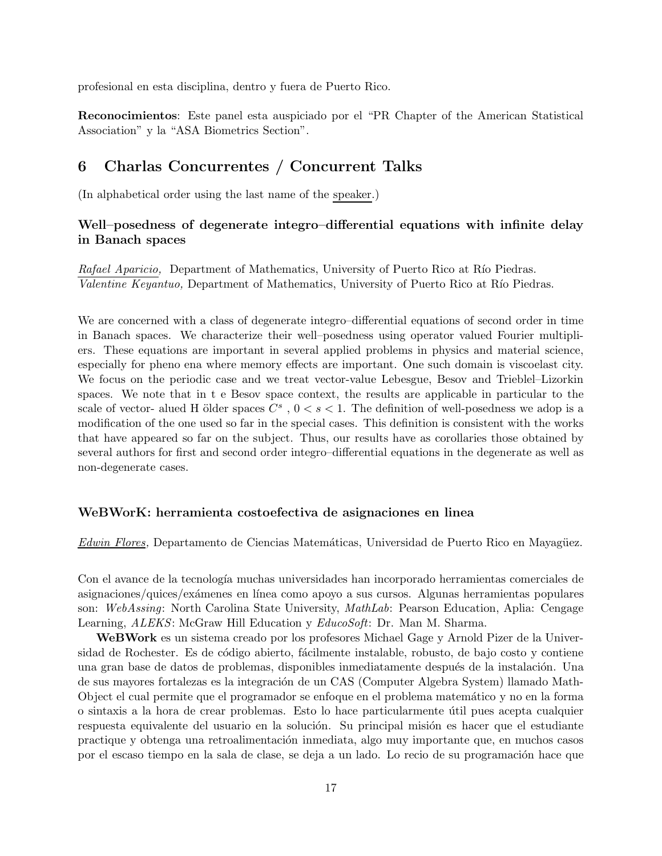profesional en esta disciplina, dentro y fuera de Puerto Rico.

Reconocimientos: Este panel esta auspiciado por el "PR Chapter of the American Statistical Association" y la "ASA Biometrics Section".

## 6 Charlas Concurrentes / Concurrent Talks

(In alphabetical order using the last name of the speaker.)

#### Well–posedness of degenerate integro–differential equations with infinite delay in Banach spaces

Rafael Aparicio, Department of Mathematics, University of Puerto Rico at Río Piedras. Valentine Keyantuo, Department of Mathematics, University of Puerto Rico at Río Piedras.

We are concerned with a class of degenerate integro–differential equations of second order in time in Banach spaces. We characterize their well–posedness using operator valued Fourier multipliers. These equations are important in several applied problems in physics and material science, especially for pheno ena where memory effects are important. One such domain is viscoelast city. We focus on the periodic case and we treat vector-value Lebesgue, Besov and Trieblel–Lizorkin spaces. We note that in t e Besov space context, the results are applicable in particular to the scale of vector- alued H ölder spaces  $C^s$ ,  $0 < s < 1$ . The definition of well-posedness we adop is a modification of the one used so far in the special cases. This definition is consistent with the works that have appeared so far on the subject. Thus, our results have as corollaries those obtained by several authors for first and second order integro–differential equations in the degenerate as well as non-degenerate cases.

#### WeBWorK: herramienta costoefectiva de asignaciones en linea

Edwin Flores, Departamento de Ciencias Matemáticas, Universidad de Puerto Rico en Mayagüez.

Con el avance de la tecnología muchas universidades han incorporado herramientas comerciales de asignaciones/quices/exámenes en línea como apoyo a sus cursos. Algunas herramientas populares son: WebAssing: North Carolina State University, MathLab: Pearson Education, Aplia: Cengage Learning, ALEKS: McGraw Hill Education y EducoSoft: Dr. Man M. Sharma.

WeBWork es un sistema creado por los profesores Michael Gage y Arnold Pizer de la Universidad de Rochester. Es de código abierto, fácilmente instalable, robusto, de bajo costo y contiene una gran base de datos de problemas, disponibles inmediatamente después de la instalación. Una de sus mayores fortalezas es la integración de un CAS (Computer Algebra System) llamado Math-Object el cual permite que el programador se enfoque en el problema matem´atico y no en la forma o sintaxis a la hora de crear problemas. Esto lo hace particularmente ´util pues acepta cualquier respuesta equivalente del usuario en la solución. Su principal misión es hacer que el estudiante practique y obtenga una retroalimentaci´on inmediata, algo muy importante que, en muchos casos por el escaso tiempo en la sala de clase, se deja a un lado. Lo recio de su programación hace que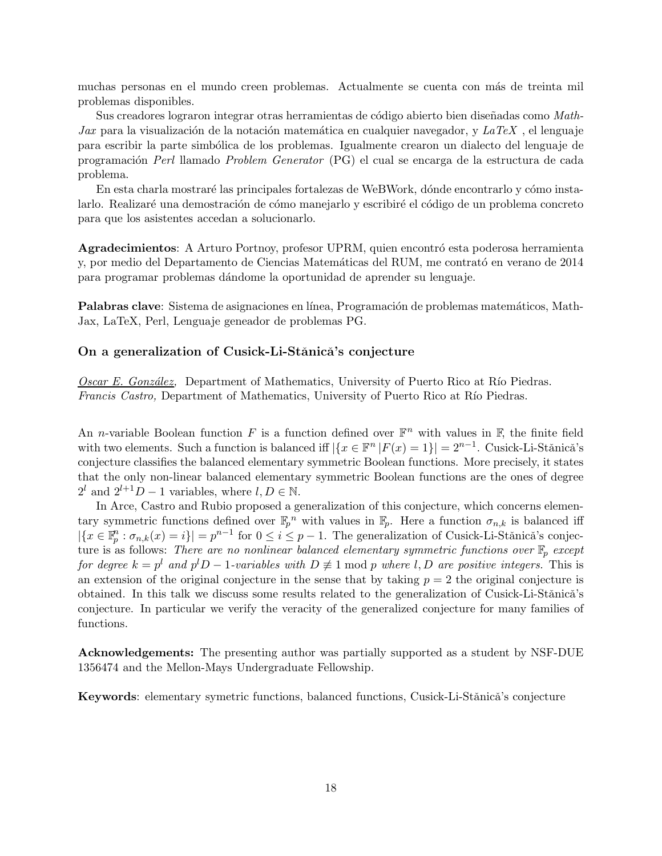muchas personas en el mundo creen problemas. Actualmente se cuenta con más de treinta mil problemas disponibles.

Sus creadores lograron integrar otras herramientas de código abierto bien diseñadas como Math-Jax para la visualización de la notación matemática en cualquier navegador, y  $LaTeX$ , el lenguaje para escribir la parte simbólica de los problemas. Igualmente crearon un dialecto del lenguaje de programación Perl llamado Problem Generator (PG) el cual se encarga de la estructura de cada problema.

En esta charla mostraré las principales fortalezas de WeBWork, dónde encontrarlo y cómo instalarlo. Realizaré una demostración de cómo manejarlo y escribiré el código de un problema concreto para que los asistentes accedan a solucionarlo.

Agradecimientos: A Arturo Portnoy, profesor UPRM, quien encontró esta poderosa herramienta y, por medio del Departamento de Ciencias Matemáticas del RUM, me contrató en verano de 2014 para programar problemas d´andome la oportunidad de aprender su lenguaje.

**Palabras clave**: Sistema de asignaciones en línea, Programación de problemas matemáticos, Math-Jax, LaTeX, Perl, Lenguaje geneador de problemas PG.

#### On a generalization of Cusick-Li-Stănică's conjecture

Oscar E. González, Department of Mathematics, University of Puerto Rico at Río Piedras. Francis Castro, Department of Mathematics, University of Puerto Rico at Río Piedras.

An *n*-variable Boolean function F is a function defined over  $\mathbb{F}^n$  with values in  $\mathbb{F}$ , the finite field with two elements. Such a function is balanced iff  $|\{x \in \mathbb{F}^n | F(x) = 1\}| = 2^{n-1}$ . Cusick-Li-Stǎnicǎ's conjecture classifies the balanced elementary symmetric Boolean functions. More precisely, it states that the only non-linear balanced elementary symmetric Boolean functions are the ones of degree  $2^l$  and  $2^{l+1}D-1$  variables, where  $l, D \in \mathbb{N}$ .

In Arce, Castro and Rubio proposed a generalization of this conjecture, which concerns elementary symmetric functions defined over  $\mathbb{F}_p^n$  with values in  $\mathbb{F}_p$ . Here a function  $\sigma_{n,k}$  is balanced iff  $|\{x \in \mathbb{F}_p^n : \sigma_{n,k}(x) = i\}| = p^{n-1}$  for  $0 \le i \le p-1$ . The generalization of Cusick-Li-Stănică's conjecture is as follows: There are no nonlinear balanced elementary symmetric functions over  $\mathbb{F}_p$  except for degree  $k = p^l$  and  $p^l D - 1$ -variables with  $D \not\equiv 1 \bmod p$  where  $l, D$  are positive integers. This is an extension of the original conjecture in the sense that by taking  $p = 2$  the original conjecture is obtained. In this talk we discuss some results related to the generalization of Cusick-Li-Stănică's conjecture. In particular we verify the veracity of the generalized conjecture for many families of functions.

Acknowledgements: The presenting author was partially supported as a student by NSF-DUE 1356474 and the Mellon-Mays Undergraduate Fellowship.

Keywords: elementary symetric functions, balanced functions, Cusick-Li-Stǎnicǎ's conjecture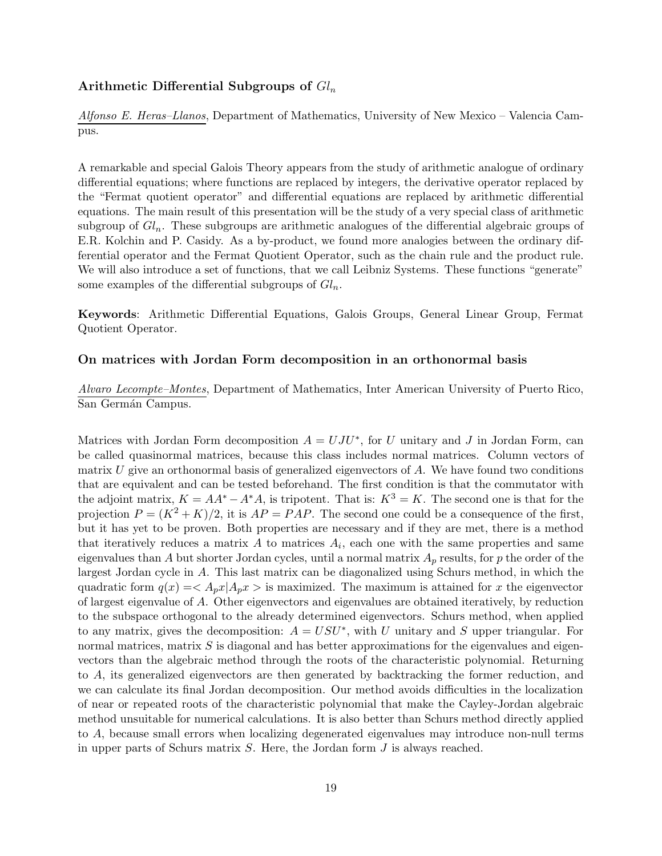#### Arithmetic Differential Subgroups of  $Gl_n$

Alfonso E. Heras–Llanos, Department of Mathematics, University of New Mexico – Valencia Campus.

A remarkable and special Galois Theory appears from the study of arithmetic analogue of ordinary differential equations; where functions are replaced by integers, the derivative operator replaced by the "Fermat quotient operator" and differential equations are replaced by arithmetic differential equations. The main result of this presentation will be the study of a very special class of arithmetic subgroup of  $Gl_n$ . These subgroups are arithmetic analogues of the differential algebraic groups of E.R. Kolchin and P. Casidy. As a by-product, we found more analogies between the ordinary differential operator and the Fermat Quotient Operator, such as the chain rule and the product rule. We will also introduce a set of functions, that we call Leibniz Systems. These functions "generate" some examples of the differential subgroups of  $Gl_n$ .

Keywords: Arithmetic Differential Equations, Galois Groups, General Linear Group, Fermat Quotient Operator.

#### On matrices with Jordan Form decomposition in an orthonormal basis

Alvaro Lecompte–Montes, Department of Mathematics, Inter American University of Puerto Rico, San Germán Campus.

Matrices with Jordan Form decomposition  $A = UJU^*$ , for U unitary and J in Jordan Form, can be called quasinormal matrices, because this class includes normal matrices. Column vectors of matrix  $U$  give an orthonormal basis of generalized eigenvectors of  $A$ . We have found two conditions that are equivalent and can be tested beforehand. The first condition is that the commutator with the adjoint matrix,  $K = AA^* - A^*A$ , is tripotent. That is:  $K^3 = K$ . The second one is that for the projection  $P = (K^2 + K)/2$ , it is  $AP = PAP$ . The second one could be a consequence of the first, but it has yet to be proven. Both properties are necessary and if they are met, there is a method that iteratively reduces a matrix  $A$  to matrices  $A_i$ , each one with the same properties and same eigenvalues than A but shorter Jordan cycles, until a normal matrix  $A_p$  results, for p the order of the largest Jordan cycle in A. This last matrix can be diagonalized using Schurs method, in which the quadratic form  $q(x) = \langle A_p x | A_p x \rangle$  is maximized. The maximum is attained for x the eigenvector of largest eigenvalue of A. Other eigenvectors and eigenvalues are obtained iteratively, by reduction to the subspace orthogonal to the already determined eigenvectors. Schurs method, when applied to any matrix, gives the decomposition:  $A = USU^*$ , with U unitary and S upper triangular. For normal matrices, matrix  $S$  is diagonal and has better approximations for the eigenvalues and eigenvectors than the algebraic method through the roots of the characteristic polynomial. Returning to A, its generalized eigenvectors are then generated by backtracking the former reduction, and we can calculate its final Jordan decomposition. Our method avoids difficulties in the localization of near or repeated roots of the characteristic polynomial that make the Cayley-Jordan algebraic method unsuitable for numerical calculations. It is also better than Schurs method directly applied to A, because small errors when localizing degenerated eigenvalues may introduce non-null terms in upper parts of Schurs matrix S. Here, the Jordan form J is always reached.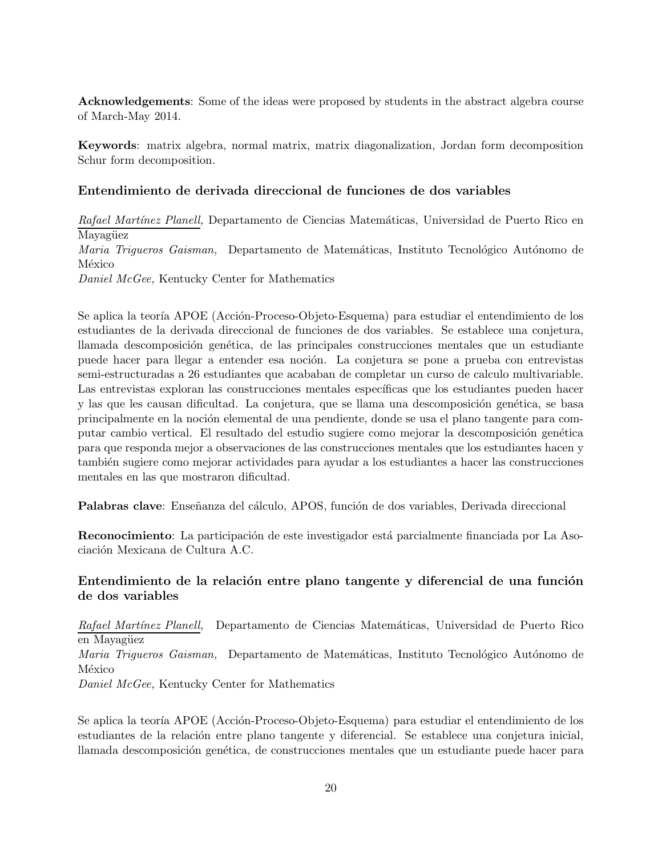Acknowledgements: Some of the ideas were proposed by students in the abstract algebra course of March-May 2014.

Keywords: matrix algebra, normal matrix, matrix diagonalization, Jordan form decomposition Schur form decomposition.

## Entendimiento de derivada direccional de funciones de dos variables

Rafael Martínez Planell, Departamento de Ciencias Matemáticas, Universidad de Puerto Rico en Mayagüez Maria Trigueros Gaisman, Departamento de Matemáticas, Instituto Tecnológico Autónomo de México Daniel McGee, Kentucky Center for Mathematics

Se aplica la teoría APOE (Acción-Proceso-Objeto-Esquema) para estudiar el entendimiento de los estudiantes de la derivada direccional de funciones de dos variables. Se establece una conjetura, llamada descomposición genética, de las principales construcciones mentales que un estudiante puede hacer para llegar a entender esa noción. La conjetura se pone a prueba con entrevistas semi-estructuradas a 26 estudiantes que acababan de completar un curso de calculo multivariable. Las entrevistas exploran las construcciones mentales específicas que los estudiantes pueden hacer y las que les causan dificultad. La conjetura, que se llama una descomposición genética, se basa principalmente en la noción elemental de una pendiente, donde se usa el plano tangente para computar cambio vertical. El resultado del estudio sugiere como mejorar la descomposición genética para que responda mejor a observaciones de las construcciones mentales que los estudiantes hacen y también sugiere como mejorar actividades para ayudar a los estudiantes a hacer las construcciones mentales en las que mostraron dificultad.

Palabras clave: Enseñanza del cálculo, APOS, función de dos variables, Derivada direccional

Reconocimiento: La participación de este investigador está parcialmente financiada por La Asociación Mexicana de Cultura A.C.

## Entendimiento de la relación entre plano tangente y diferencial de una función de dos variables

Rafael Martínez Planell, Departamento de Ciencias Matemáticas, Universidad de Puerto Rico en Mayagüez

Maria Trigueros Gaisman, Departamento de Matemáticas, Instituto Tecnológico Autónomo de México

Daniel McGee, Kentucky Center for Mathematics

Se aplica la teoría APOE (Acción-Proceso-Objeto-Esquema) para estudiar el entendimiento de los estudiantes de la relación entre plano tangente y diferencial. Se establece una conjetura inicial, llamada descomposición genética, de construcciones mentales que un estudiante puede hacer para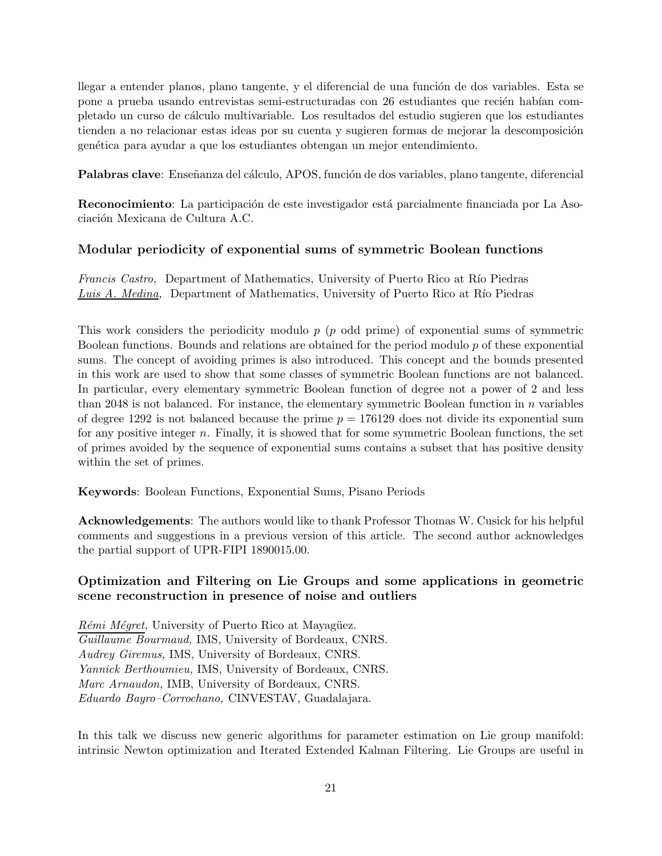llegar a entender planos, plano tangente, y el diferencial de una función de dos variables. Esta se pone a prueba usando entrevistas semi-estructuradas con 26 estudiantes que recién habían completado un curso de c´alculo multivariable. Los resultados del estudio sugieren que los estudiantes tienden a no relacionar estas ideas por su cuenta y sugieren formas de mejorar la descomposición gen´etica para ayudar a que los estudiantes obtengan un mejor entendimiento.

Palabras clave: Enseñanza del cálculo, APOS, función de dos variables, plano tangente, diferencial

Reconocimiento: La participación de este investigador está parcialmente financiada por La Asociación Mexicana de Cultura A.C.

## Modular periodicity of exponential sums of symmetric Boolean functions

Francis Castro, Department of Mathematics, University of Puerto Rico at Río Piedras Luis A. Medina, Department of Mathematics, University of Puerto Rico at Río Piedras

This work considers the periodicity modulo  $p$  ( $p$  odd prime) of exponential sums of symmetric Boolean functions. Bounds and relations are obtained for the period modulo  $p$  of these exponential sums. The concept of avoiding primes is also introduced. This concept and the bounds presented in this work are used to show that some classes of symmetric Boolean functions are not balanced. In particular, every elementary symmetric Boolean function of degree not a power of 2 and less than 2048 is not balanced. For instance, the elementary symmetric Boolean function in  $n$  variables of degree 1292 is not balanced because the prime  $p = 176129$  does not divide its exponential sum for any positive integer n. Finally, it is showed that for some symmetric Boolean functions, the set of primes avoided by the sequence of exponential sums contains a subset that has positive density within the set of primes.

Keywords: Boolean Functions, Exponential Sums, Pisano Periods

Acknowledgements: The authors would like to thank Professor Thomas W. Cusick for his helpful comments and suggestions in a previous version of this article. The second author acknowledges the partial support of UPR-FIPI 1890015.00.

## Optimization and Filtering on Lie Groups and some applications in geometric scene reconstruction in presence of noise and outliers

 $Rémi$  *Mégret*, University of Puerto Rico at Mayagüez. Guillaume Bourmaud, IMS, University of Bordeaux, CNRS. Audrey Giremus, IMS, University of Bordeaux, CNRS. Yannick Berthoumieu, IMS, University of Bordeaux, CNRS. Marc Arnaudon, IMB, University of Bordeaux, CNRS. Eduardo Bayro–Corrochano, CINVESTAV, Guadalajara.

In this talk we discuss new generic algorithms for parameter estimation on Lie group manifold: intrinsic Newton optimization and Iterated Extended Kalman Filtering. Lie Groups are useful in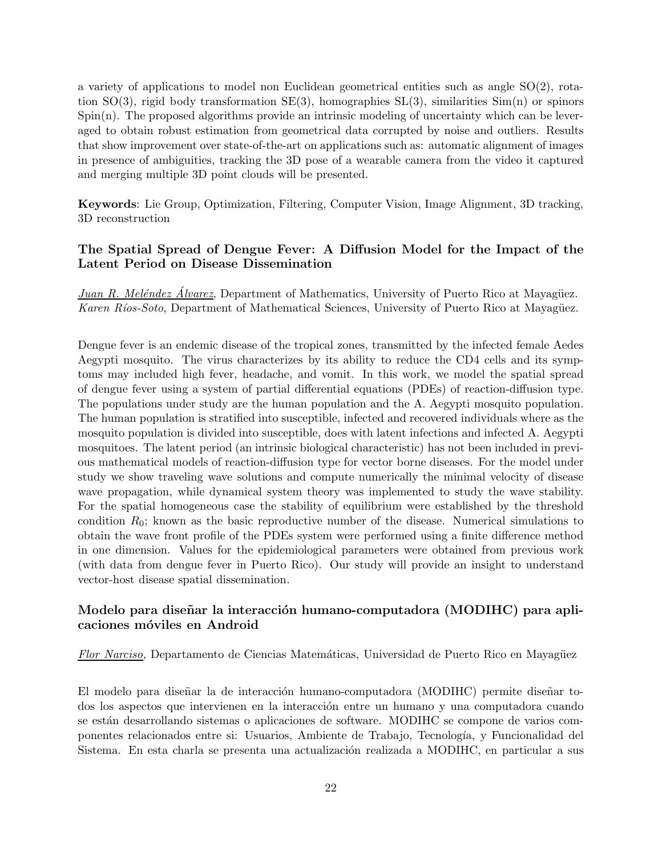a variety of applications to model non Euclidean geometrical entities such as angle  $SO(2)$ , rotation  $SO(3)$ , rigid body transformation  $SE(3)$ , homographies  $SL(3)$ , similarities  $Sim(n)$  or spinors  $Spin(n)$ . The proposed algorithms provide an intrinsic modeling of uncertainty which can be leveraged to obtain robust estimation from geometrical data corrupted by noise and outliers. Results that show improvement over state-of-the-art on applications such as: automatic alignment of images in presence of ambiguities, tracking the 3D pose of a wearable camera from the video it captured and merging multiple 3D point clouds will be presented.

Keywords: Lie Group, Optimization, Filtering, Computer Vision, Image Alignment, 3D tracking, 3D reconstruction

#### The Spatial Spread of Dengue Fever: A Diffusion Model for the Impact of the Latent Period on Disease Dissemination

Juan R. Meléndez Álvarez, Department of Mathematics, University of Puerto Rico at Mayagüez. Karen Ríos-Soto, Department of Mathematical Sciences, University of Puerto Rico at Mayagüez.

Dengue fever is an endemic disease of the tropical zones, transmitted by the infected female Aedes Aegypti mosquito. The virus characterizes by its ability to reduce the CD4 cells and its symptoms may included high fever, headache, and vomit. In this work, we model the spatial spread of dengue fever using a system of partial differential equations (PDEs) of reaction-diffusion type. The populations under study are the human population and the A. Aegypti mosquito population. The human population is stratified into susceptible, infected and recovered individuals where as the mosquito population is divided into susceptible, does with latent infections and infected A. Aegypti mosquitoes. The latent period (an intrinsic biological characteristic) has not been included in previous mathematical models of reaction-diffusion type for vector borne diseases. For the model under study we show traveling wave solutions and compute numerically the minimal velocity of disease wave propagation, while dynamical system theory was implemented to study the wave stability. For the spatial homogeneous case the stability of equilibrium were established by the threshold condition  $R_0$ ; known as the basic reproductive number of the disease. Numerical simulations to obtain the wave front profile of the PDEs system were performed using a finite difference method in one dimension. Values for the epidemiological parameters were obtained from previous work (with data from dengue fever in Puerto Rico). Our study will provide an insight to understand vector-host disease spatial dissemination.

#### Modelo para diseñar la interacción humano-computadora (MODIHC) para aplicaciones m´oviles en Android

Flor Narciso, Departamento de Ciencias Matemáticas, Universidad de Puerto Rico en Mayagüez

El modelo para diseñar la de interacción humano-computadora (MODIHC) permite diseñar todos los aspectos que intervienen en la interacción entre un humano y una computadora cuando se están desarrollando sistemas o aplicaciones de software. MODIHC se compone de varios componentes relacionados entre si: Usuarios, Ambiente de Trabajo, Tecnología, y Funcionalidad del Sistema. En esta charla se presenta una actualización realizada a MODIHC, en particular a sus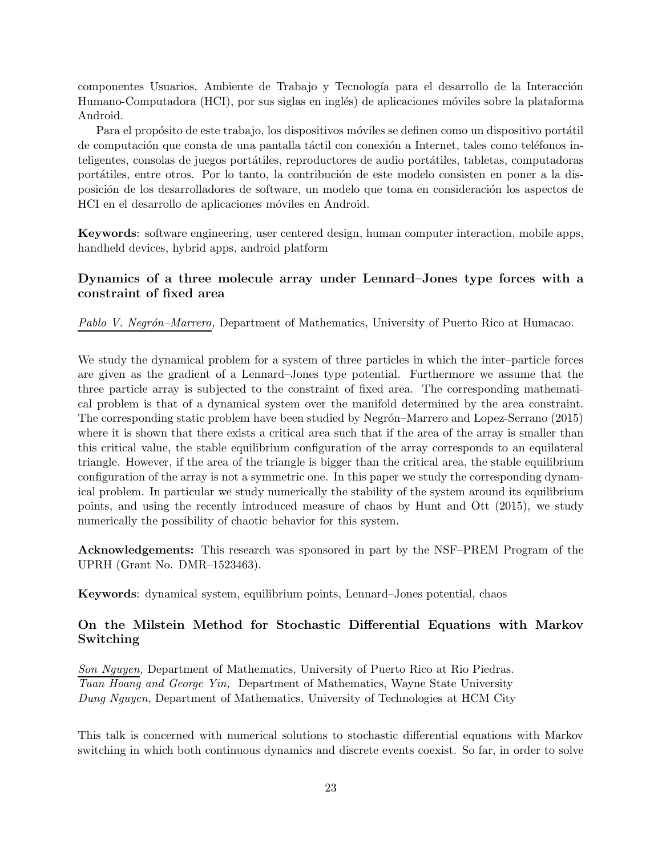componentes Usuarios, Ambiente de Trabajo y Tecnología para el desarrollo de la Interacción Humano-Computadora (HCI), por sus siglas en inglés) de aplicaciones móviles sobre la plataforma Android.

Para el propósito de este trabajo, los dispositivos móviles se definen como un dispositivo portátil de computación que consta de una pantalla táctil con conexión a Internet, tales como teléfonos inteligentes, consolas de juegos portátiles, reproductores de audio portátiles, tabletas, computadoras portátiles, entre otros. Por lo tanto, la contribución de este modelo consisten en poner a la disposición de los desarrolladores de software, un modelo que toma en consideración los aspectos de HCI en el desarrollo de aplicaciones móviles en Android.

Keywords: software engineering, user centered design, human computer interaction, mobile apps, handheld devices, hybrid apps, android platform

#### Dynamics of a three molecule array under Lennard–Jones type forces with a constraint of fixed area

Pablo V. Negrón–Marrero, Department of Mathematics, University of Puerto Rico at Humacao.

We study the dynamical problem for a system of three particles in which the inter–particle forces are given as the gradient of a Lennard–Jones type potential. Furthermore we assume that the three particle array is subjected to the constraint of fixed area. The corresponding mathematical problem is that of a dynamical system over the manifold determined by the area constraint. The corresponding static problem have been studied by Negrón–Marrero and Lopez-Serrano (2015) where it is shown that there exists a critical area such that if the area of the array is smaller than this critical value, the stable equilibrium configuration of the array corresponds to an equilateral triangle. However, if the area of the triangle is bigger than the critical area, the stable equilibrium configuration of the array is not a symmetric one. In this paper we study the corresponding dynamical problem. In particular we study numerically the stability of the system around its equilibrium points, and using the recently introduced measure of chaos by Hunt and Ott (2015), we study numerically the possibility of chaotic behavior for this system.

Acknowledgements: This research was sponsored in part by the NSF–PREM Program of the UPRH (Grant No. DMR–1523463).

Keywords: dynamical system, equilibrium points, Lennard–Jones potential, chaos

#### On the Milstein Method for Stochastic Differential Equations with Markov Switching

Son Nguyen, Department of Mathematics, University of Puerto Rico at Rio Piedras. Tuan Hoang and George Yin, Department of Mathematics, Wayne State University Dung Nguyen, Department of Mathematics, University of Technologies at HCM City

This talk is concerned with numerical solutions to stochastic differential equations with Markov switching in which both continuous dynamics and discrete events coexist. So far, in order to solve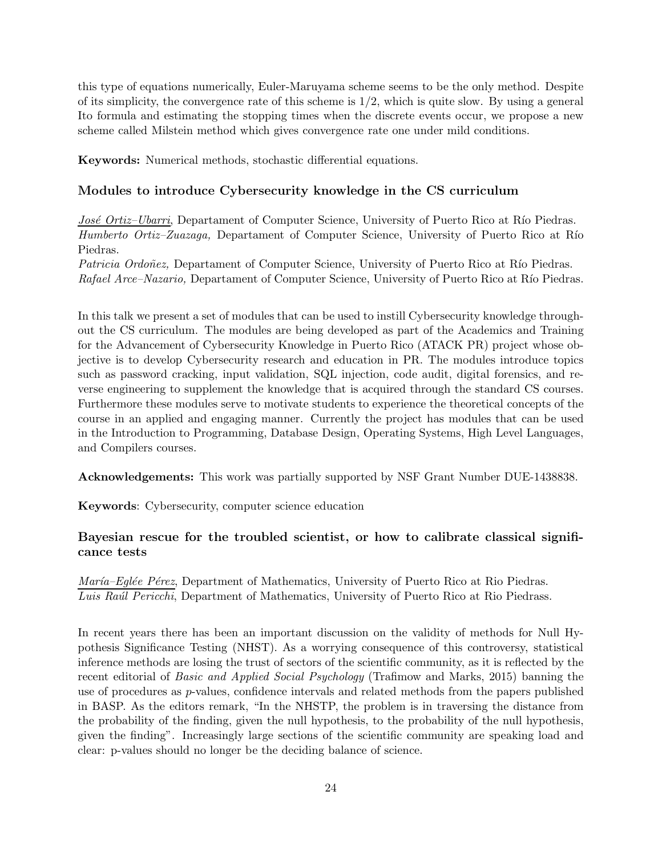this type of equations numerically, Euler-Maruyama scheme seems to be the only method. Despite of its simplicity, the convergence rate of this scheme is  $1/2$ , which is quite slow. By using a general Ito formula and estimating the stopping times when the discrete events occur, we propose a new scheme called Milstein method which gives convergence rate one under mild conditions.

Keywords: Numerical methods, stochastic differential equations.

#### Modules to introduce Cybersecurity knowledge in the CS curriculum

José Ortiz–Ubarri, Departament of Computer Science, University of Puerto Rico at Río Piedras. Humberto Ortiz–Zuazaga, Departament of Computer Science, University of Puerto Rico at Río Piedras.

Patricia Ordoñez, Departament of Computer Science, University of Puerto Rico at Río Piedras. Rafael Arce–Nazario, Departament of Computer Science, University of Puerto Rico at Río Piedras.

In this talk we present a set of modules that can be used to instill Cybersecurity knowledge throughout the CS curriculum. The modules are being developed as part of the Academics and Training for the Advancement of Cybersecurity Knowledge in Puerto Rico (ATACK PR) project whose objective is to develop Cybersecurity research and education in PR. The modules introduce topics such as password cracking, input validation, SQL injection, code audit, digital forensics, and reverse engineering to supplement the knowledge that is acquired through the standard CS courses. Furthermore these modules serve to motivate students to experience the theoretical concepts of the course in an applied and engaging manner. Currently the project has modules that can be used in the Introduction to Programming, Database Design, Operating Systems, High Level Languages, and Compilers courses.

Acknowledgements: This work was partially supported by NSF Grant Number DUE-1438838.

Keywords: Cybersecurity, computer science education

#### Bayesian rescue for the troubled scientist, or how to calibrate classical significance tests

María–Eglée Pérez, Department of Mathematics, University of Puerto Rico at Rio Piedras. Luis Raúl Pericchi, Department of Mathematics, University of Puerto Rico at Rio Piedrass.

In recent years there has been an important discussion on the validity of methods for Null Hypothesis Significance Testing (NHST). As a worrying consequence of this controversy, statistical inference methods are losing the trust of sectors of the scientific community, as it is reflected by the recent editorial of Basic and Applied Social Psychology (Trafimow and Marks, 2015) banning the use of procedures as p-values, confidence intervals and related methods from the papers published in BASP. As the editors remark, "In the NHSTP, the problem is in traversing the distance from the probability of the finding, given the null hypothesis, to the probability of the null hypothesis, given the finding". Increasingly large sections of the scientific community are speaking load and clear: p-values should no longer be the deciding balance of science.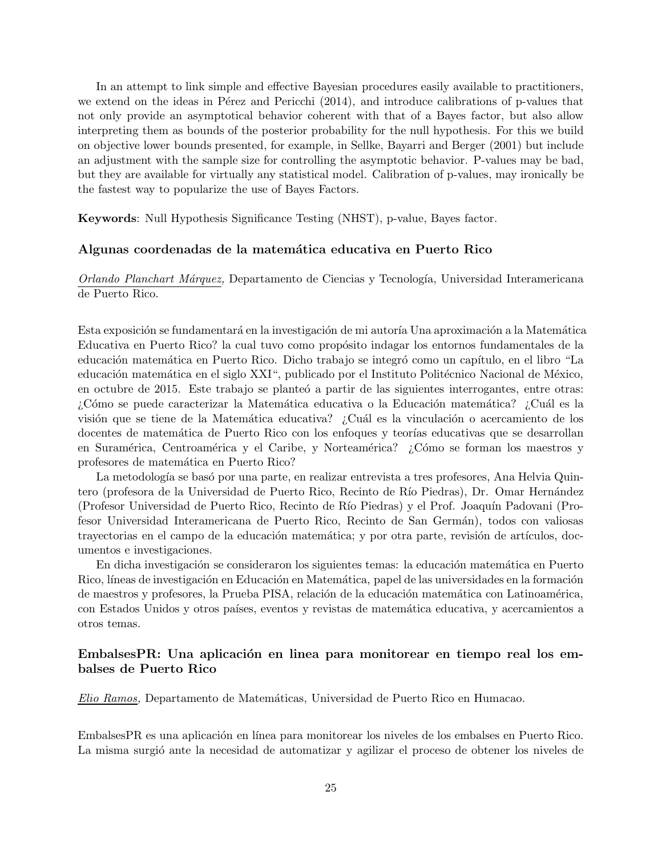In an attempt to link simple and effective Bayesian procedures easily available to practitioners, we extend on the ideas in Pérez and Pericchi  $(2014)$ , and introduce calibrations of p-values that not only provide an asymptotical behavior coherent with that of a Bayes factor, but also allow interpreting them as bounds of the posterior probability for the null hypothesis. For this we build on objective lower bounds presented, for example, in Sellke, Bayarri and Berger (2001) but include an adjustment with the sample size for controlling the asymptotic behavior. P-values may be bad, but they are available for virtually any statistical model. Calibration of p-values, may ironically be the fastest way to popularize the use of Bayes Factors.

Keywords: Null Hypothesis Significance Testing (NHST), p-value, Bayes factor.

#### Algunas coordenadas de la matemática educativa en Puerto Rico

Orlando Planchart Márquez, Departamento de Ciencias y Tecnología, Universidad Interamericana de Puerto Rico.

Esta exposición se fundamentará en la investigación de mi autoría Una aproximación a la Matemática Educativa en Puerto Rico? la cual tuvo como propósito indagar los entornos fundamentales de la educación matemática en Puerto Rico. Dicho trabajo se integró como un capítulo, en el libro "La educación matemática en el siglo XXI", publicado por el Instituto Politécnico Nacional de México, en octubre de 2015. Este trabajo se planteó a partir de las siguientes interrogantes, entre otras: ¿Cómo se puede caracterizar la Matemática educativa o la Educación matemática? ¿Cuál es la visión que se tiene de la Matemática educativa? ¿Cuál es la vinculación o acercamiento de los docentes de matemática de Puerto Rico con los enfoques y teorías educativas que se desarrollan en Suramérica, Centroamérica y el Caribe, y Norteamérica? ¿Cómo se forman los maestros y profesores de matemática en Puerto Rico?

La metodología se basó por una parte, en realizar entrevista a tres profesores, Ana Helvia Quintero (profesora de la Universidad de Puerto Rico, Recinto de Río Piedras), Dr. Omar Hernández (Profesor Universidad de Puerto Rico, Recinto de R´ıo Piedras) y el Prof. Joaqu´ın Padovani (Profesor Universidad Interamericana de Puerto Rico, Recinto de San Germ´an), todos con valiosas trayectorias en el campo de la educación matemática; y por otra parte, revisión de artículos, documentos e investigaciones.

En dicha investigación se consideraron los siguientes temas: la educación matemática en Puerto Rico, líneas de investigación en Educación en Matemática, papel de las universidades en la formación de maestros y profesores, la Prueba PISA, relación de la educación matemática con Latinoamérica, con Estados Unidos y otros países, eventos y revistas de matemática educativa, y acercamientos a otros temas.

#### Embalses PR: Una aplicación en linea para monitorear en tiempo real los embalses de Puerto Rico

Elio Ramos, Departamento de Matem´aticas, Universidad de Puerto Rico en Humacao.

Embalses PR es una aplicación en línea para monitorear los niveles de los embalses en Puerto Rico. La misma surgió ante la necesidad de automatizar y agilizar el proceso de obtener los niveles de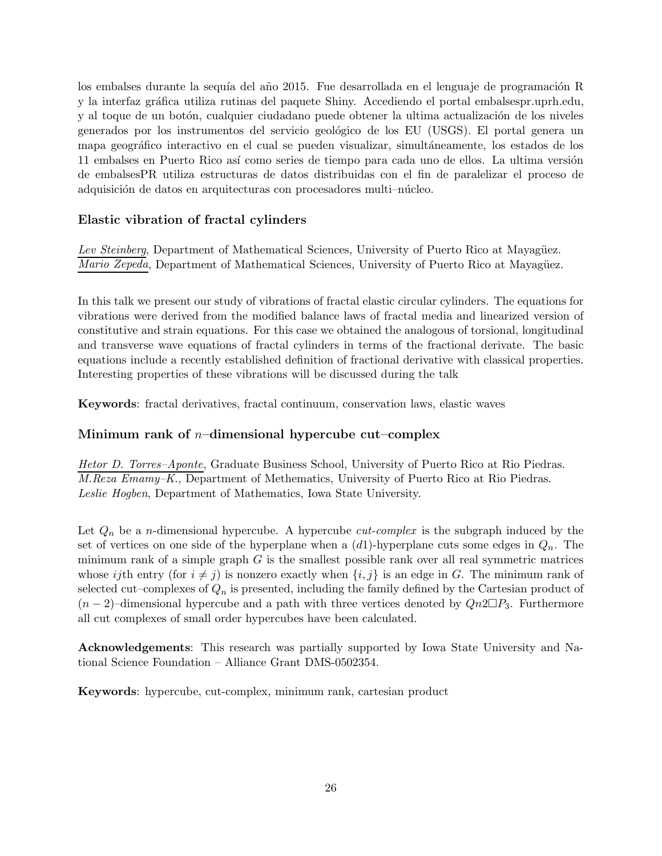los embalses durante la sequía del año 2015. Fue desarrollada en el lenguaje de programación R y la interfaz gráfica utiliza rutinas del paquete Shiny. Accediendo el portal embalsespr.uprh.edu, y al toque de un botón, cualquier ciudadano puede obtener la ultima actualización de los niveles generados por los instrumentos del servicio geológico de los EU (USGS). El portal genera un mapa geográfico interactivo en el cual se pueden visualizar, simultáneamente, los estados de los 11 embalses en Puerto Rico así como series de tiempo para cada uno de ellos. La ultima versión de embalsesPR utiliza estructuras de datos distribuidas con el fin de paralelizar el proceso de adquisición de datos en arquitecturas con procesadores multi-núcleo.

## Elastic vibration of fractal cylinders

Lev Steinberg, Department of Mathematical Sciences, University of Puerto Rico at Mayagüez. *Mario Zepeda*, Department of Mathematical Sciences, University of Puerto Rico at Mayagüez.

In this talk we present our study of vibrations of fractal elastic circular cylinders. The equations for vibrations were derived from the modified balance laws of fractal media and linearized version of constitutive and strain equations. For this case we obtained the analogous of torsional, longitudinal and transverse wave equations of fractal cylinders in terms of the fractional derivate. The basic equations include a recently established definition of fractional derivative with classical properties. Interesting properties of these vibrations will be discussed during the talk

Keywords: fractal derivatives, fractal continuum, conservation laws, elastic waves

## Minimum rank of  $n$ –dimensional hypercube cut–complex

Hetor D. Torres–Aponte, Graduate Business School, University of Puerto Rico at Rio Piedras. M.Reza Emamy–K., Department of Methematics, University of Puerto Rico at Rio Piedras. Leslie Hogben, Department of Mathematics, Iowa State University.

Let  $Q_n$  be a *n*-dimensional hypercube. A hypercube *cut-complex* is the subgraph induced by the set of vertices on one side of the hyperplane when a  $(d1)$ -hyperplane cuts some edges in  $Q_n$ . The minimum rank of a simple graph  $G$  is the smallest possible rank over all real symmetric matrices whose ijth entry (for  $i \neq j$ ) is nonzero exactly when  $\{i, j\}$  is an edge in G. The minimum rank of selected cut–complexes of  $Q_n$  is presented, including the family defined by the Cartesian product of  $(n-2)$ –dimensional hypercube and a path with three vertices denoted by  $Qn2\Box P_3$ . Furthermore all cut complexes of small order hypercubes have been calculated.

Acknowledgements: This research was partially supported by Iowa State University and National Science Foundation – Alliance Grant DMS-0502354.

Keywords: hypercube, cut-complex, minimum rank, cartesian product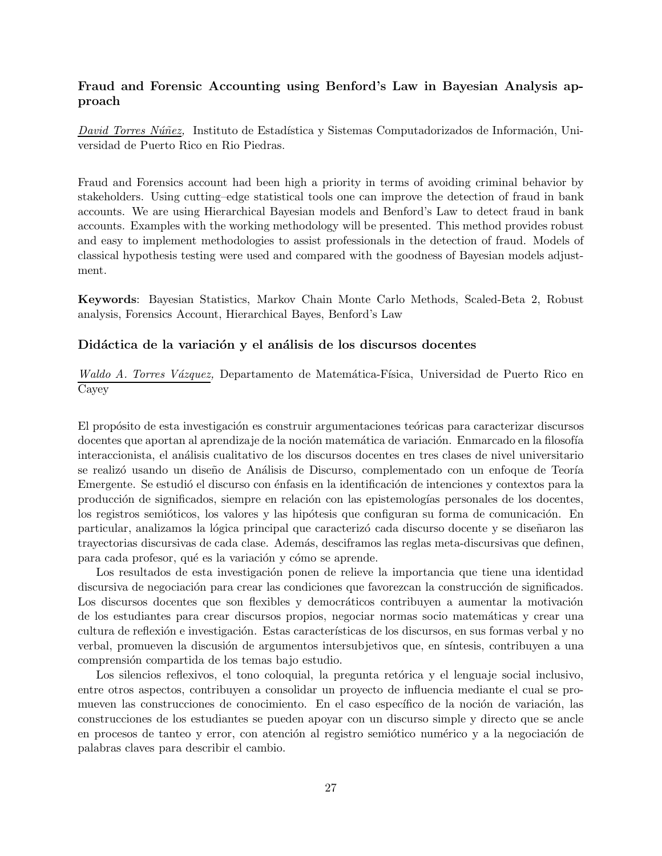#### Fraud and Forensic Accounting using Benford's Law in Bayesian Analysis approach

David Torres Núñez, Instituto de Estadística y Sistemas Computadorizados de Información, Universidad de Puerto Rico en Rio Piedras.

Fraud and Forensics account had been high a priority in terms of avoiding criminal behavior by stakeholders. Using cutting–edge statistical tools one can improve the detection of fraud in bank accounts. We are using Hierarchical Bayesian models and Benford's Law to detect fraud in bank accounts. Examples with the working methodology will be presented. This method provides robust and easy to implement methodologies to assist professionals in the detection of fraud. Models of classical hypothesis testing were used and compared with the goodness of Bayesian models adjustment.

Keywords: Bayesian Statistics, Markov Chain Monte Carlo Methods, Scaled-Beta 2, Robust analysis, Forensics Account, Hierarchical Bayes, Benford's Law

#### Didáctica de la variación y el análisis de los discursos docentes

Waldo A. Torres Vázquez, Departamento de Matemática-Física, Universidad de Puerto Rico en Cayey

El propósito de esta investigación es construir argumentaciones teóricas para caracterizar discursos docentes que aportan al aprendizaje de la noción matemática de variación. Enmarcado en la filosofía interaccionista, el análisis cualitativo de los discursos docentes en tres clases de nivel universitario se realizó usando un diseño de Análisis de Discurso, complementado con un enfoque de Teoría Emergente. Se estudió el discurso con énfasis en la identificación de intenciones y contextos para la producción de significados, siempre en relación con las epistemologías personales de los docentes, los registros semióticos, los valores y las hipótesis que configuran su forma de comunicación. En particular, analizamos la lógica principal que caracterizó cada discurso docente y se diseñaron las trayectorias discursivas de cada clase. Adem´as, desciframos las reglas meta-discursivas que definen, para cada profesor, qué es la variación y cómo se aprende.

Los resultados de esta investigación ponen de relieve la importancia que tiene una identidad discursiva de negociación para crear las condiciones que favorezcan la construcción de significados. Los discursos docentes que son flexibles y democráticos contribuyen a aumentar la motivación de los estudiantes para crear discursos propios, negociar normas socio matemáticas y crear una cultura de reflexión e investigación. Estas características de los discursos, en sus formas verbal y no verbal, promueven la discusión de argumentos intersubjetivos que, en síntesis, contribuyen a una comprensión compartida de los temas bajo estudio.

Los silencios reflexivos, el tono coloquial, la pregunta retórica y el lenguaje social inclusivo, entre otros aspectos, contribuyen a consolidar un proyecto de influencia mediante el cual se promueven las construcciones de conocimiento. En el caso específico de la noción de variación, las construcciones de los estudiantes se pueden apoyar con un discurso simple y directo que se ancle en procesos de tanteo y error, con atención al registro semiótico numérico y a la negociación de palabras claves para describir el cambio.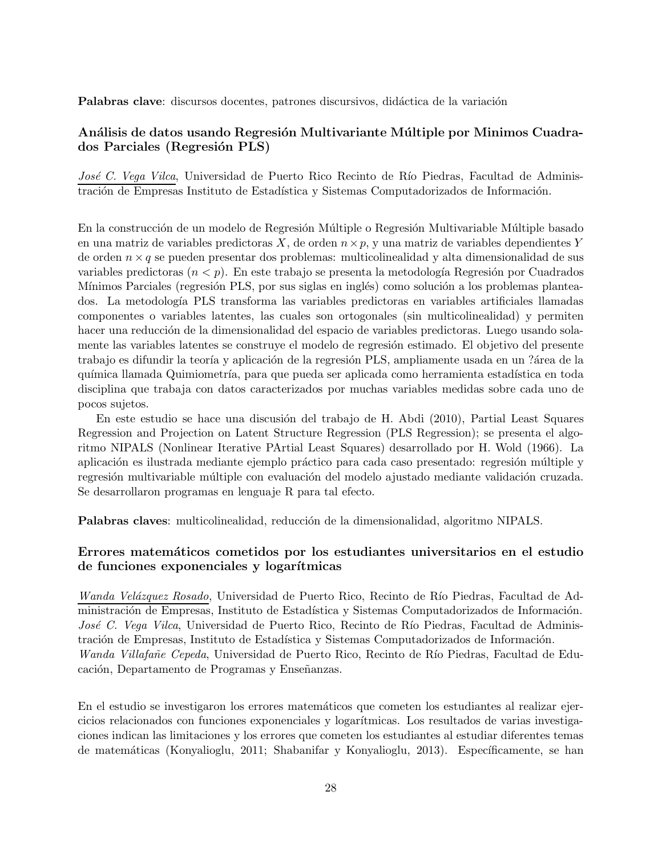Palabras clave: discursos docentes, patrones discursivos, didáctica de la variación

#### Análisis de datos usando Regresión Multivariante Múltiple por Minimos Cuadrados Parciales (Regresión PLS)

José C. Vega Vilca, Universidad de Puerto Rico Recinto de Río Piedras, Facultad de Administración de Empresas Instituto de Estadística y Sistemas Computadorizados de Información.

En la construcción de un modelo de Regresión Múltiple o Regresión Multivariable Múltiple basado en una matriz de variables predictoras X, de orden  $n \times p$ , y una matriz de variables dependientes Y de orden  $n \times q$  se pueden presentar dos problemas: multicolinealidad y alta dimensionalidad de sus variables predictoras  $(n < p)$ . En este trabajo se presenta la metodología Regresión por Cuadrados Mínimos Parciales (regresión PLS, por sus siglas en inglés) como solución a los problemas planteados. La metodolog´ıa PLS transforma las variables predictoras en variables artificiales llamadas componentes o variables latentes, las cuales son ortogonales (sin multicolinealidad) y permiten hacer una reducción de la dimensionalidad del espacio de variables predictoras. Luego usando solamente las variables latentes se construye el modelo de regresión estimado. El objetivo del presente trabajo es difundir la teoría y aplicación de la regresión PLS, ampliamente usada en un ?área de la química llamada Quimiometría, para que pueda ser aplicada como herramienta estadística en toda disciplina que trabaja con datos caracterizados por muchas variables medidas sobre cada uno de pocos sujetos.

En este estudio se hace una discusión del trabajo de H. Abdi (2010), Partial Least Squares Regression and Projection on Latent Structure Regression (PLS Regression); se presenta el algoritmo NIPALS (Nonlinear Iterative PArtial Least Squares) desarrollado por H. Wold (1966). La aplicación es ilustrada mediante ejemplo práctico para cada caso presentado: regresión múltiple y regresión multivariable múltiple con evaluación del modelo ajustado mediante validación cruzada. Se desarrollaron programas en lenguaje R para tal efecto.

Palabras claves: multicolinealidad, reducción de la dimensionalidad, algoritmo NIPALS.

#### Errores matem´aticos cometidos por los estudiantes universitarios en el estudio de funciones exponenciales y logarítmicas

Wanda Velázquez Rosado, Universidad de Puerto Rico, Recinto de Río Piedras, Facultad de Administración de Empresas, Instituto de Estadística y Sistemas Computadorizados de Información. José C. Vega Vilca, Universidad de Puerto Rico, Recinto de Río Piedras, Facultad de Administración de Empresas, Instituto de Estadística y Sistemas Computadorizados de Información. Wanda Villafañe Cepeda, Universidad de Puerto Rico, Recinto de Río Piedras, Facultad de Educación, Departamento de Programas y Enseñanzas.

En el estudio se investigaron los errores matemáticos que cometen los estudiantes al realizar ejercicios relacionados con funciones exponenciales y logarítmicas. Los resultados de varias investigaciones indican las limitaciones y los errores que cometen los estudiantes al estudiar diferentes temas de matemáticas (Konyalioglu, 2011; Shabanifar y Konyalioglu, 2013). Específicamente, se han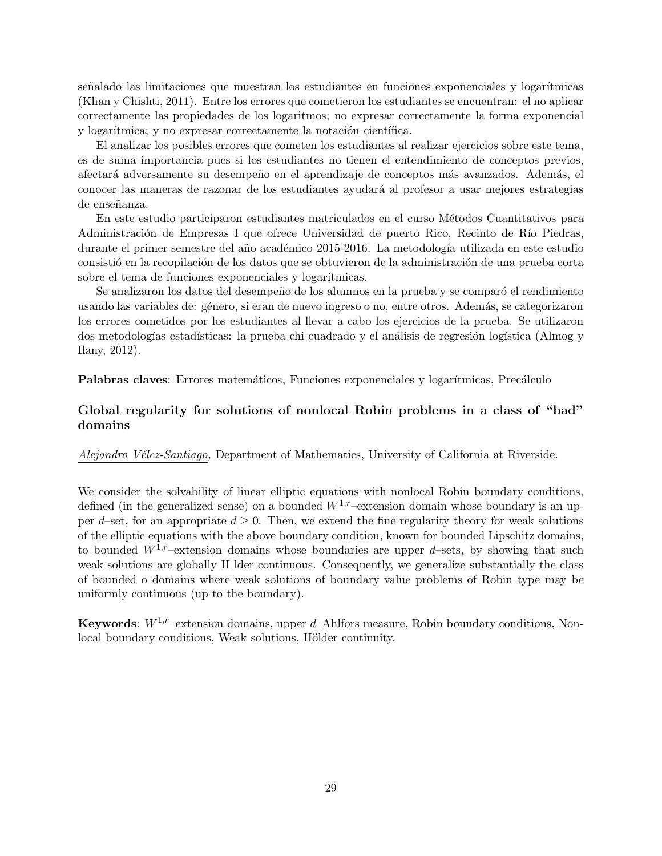señalado las limitaciones que muestran los estudiantes en funciones exponenciales y logarítmicas (Khan y Chishti, 2011). Entre los errores que cometieron los estudiantes se encuentran: el no aplicar correctamente las propiedades de los logaritmos; no expresar correctamente la forma exponencial y logarítmica; y no expresar correctamente la notación científica.

El analizar los posibles errores que cometen los estudiantes al realizar ejercicios sobre este tema, es de suma importancia pues si los estudiantes no tienen el entendimiento de conceptos previos, afectará adversamente su desempeño en el aprendizaje de conceptos más avanzados. Además, el conocer las maneras de razonar de los estudiantes ayudar´a al profesor a usar mejores estrategias de enseñanza.

En este estudio participaron estudiantes matriculados en el curso Métodos Cuantitativos para Administración de Empresas I que ofrece Universidad de puerto Rico, Recinto de Río Piedras, durante el primer semestre del año académico 2015-2016. La metodología utilizada en este estudio consistió en la recopilación de los datos que se obtuvieron de la administración de una prueba corta sobre el tema de funciones exponenciales y logarítmicas.

Se analizaron los datos del desempeño de los alumnos en la prueba y se comparó el rendimiento usando las variables de: género, si eran de nuevo ingreso o no, entre otros. Además, se categorizaron los errores cometidos por los estudiantes al llevar a cabo los ejercicios de la prueba. Se utilizaron dos metodologías estadísticas: la prueba chi cuadrado y el análisis de regresión logística (Almog y Ilany, 2012).

Palabras claves: Errores matemáticos, Funciones exponenciales y logarítmicas, Precálculo

## Global regularity for solutions of nonlocal Robin problems in a class of "bad" domains

Alejandro Vélez-Santiago, Department of Mathematics, University of California at Riverside.

We consider the solvability of linear elliptic equations with nonlocal Robin boundary conditions, defined (in the generalized sense) on a bounded  $W^{1,r}$ –extension domain whose boundary is an upper d–set, for an appropriate  $d \geq 0$ . Then, we extend the fine regularity theory for weak solutions of the elliptic equations with the above boundary condition, known for bounded Lipschitz domains, to bounded  $W^{1,r}$ –extension domains whose boundaries are upper d–sets, by showing that such weak solutions are globally H lder continuous. Consequently, we generalize substantially the class of bounded o domains where weak solutions of boundary value problems of Robin type may be uniformly continuous (up to the boundary).

Keywords:  $W^{1,r}$ –extension domains, upper d–Ahlfors measure, Robin boundary conditions, Nonlocal boundary conditions, Weak solutions, Hölder continuity.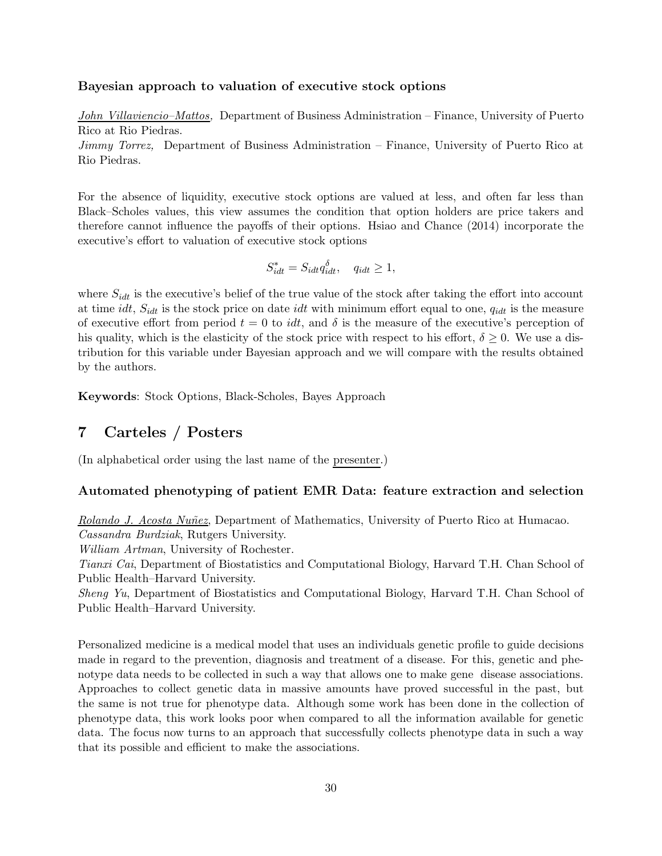#### Bayesian approach to valuation of executive stock options

John Villaviencio–Mattos, Department of Business Administration – Finance, University of Puerto Rico at Rio Piedras.

Jimmy Torrez, Department of Business Administration – Finance, University of Puerto Rico at Rio Piedras.

For the absence of liquidity, executive stock options are valued at less, and often far less than Black–Scholes values, this view assumes the condition that option holders are price takers and therefore cannot influence the payoffs of their options. Hsiao and Chance (2014) incorporate the executive's effort to valuation of executive stock options

$$
S_{idt}^* = S_{idt} q_{idt}^{\delta}, \quad q_{idt} \ge 1,
$$

where  $S_{idt}$  is the executive's belief of the true value of the stock after taking the effort into account at time idt,  $S_{idt}$  is the stock price on date idt with minimum effort equal to one,  $q_{idt}$  is the measure of executive effort from period  $t = 0$  to *idt*, and  $\delta$  is the measure of the executive's perception of his quality, which is the elasticity of the stock price with respect to his effort,  $\delta \geq 0$ . We use a distribution for this variable under Bayesian approach and we will compare with the results obtained by the authors.

Keywords: Stock Options, Black-Scholes, Bayes Approach

# 7 Carteles / Posters

(In alphabetical order using the last name of the presenter.)

#### Automated phenotyping of patient EMR Data: feature extraction and selection

Rolando J. Acosta Nuñez, Department of Mathematics, University of Puerto Rico at Humacao. Cassandra Burdziak, Rutgers University.

William Artman, University of Rochester.

Tianxi Cai, Department of Biostatistics and Computational Biology, Harvard T.H. Chan School of Public Health–Harvard University.

Sheng Yu, Department of Biostatistics and Computational Biology, Harvard T.H. Chan School of Public Health–Harvard University.

Personalized medicine is a medical model that uses an individuals genetic profile to guide decisions made in regard to the prevention, diagnosis and treatment of a disease. For this, genetic and phenotype data needs to be collected in such a way that allows one to make gene disease associations. Approaches to collect genetic data in massive amounts have proved successful in the past, but the same is not true for phenotype data. Although some work has been done in the collection of phenotype data, this work looks poor when compared to all the information available for genetic data. The focus now turns to an approach that successfully collects phenotype data in such a way that its possible and efficient to make the associations.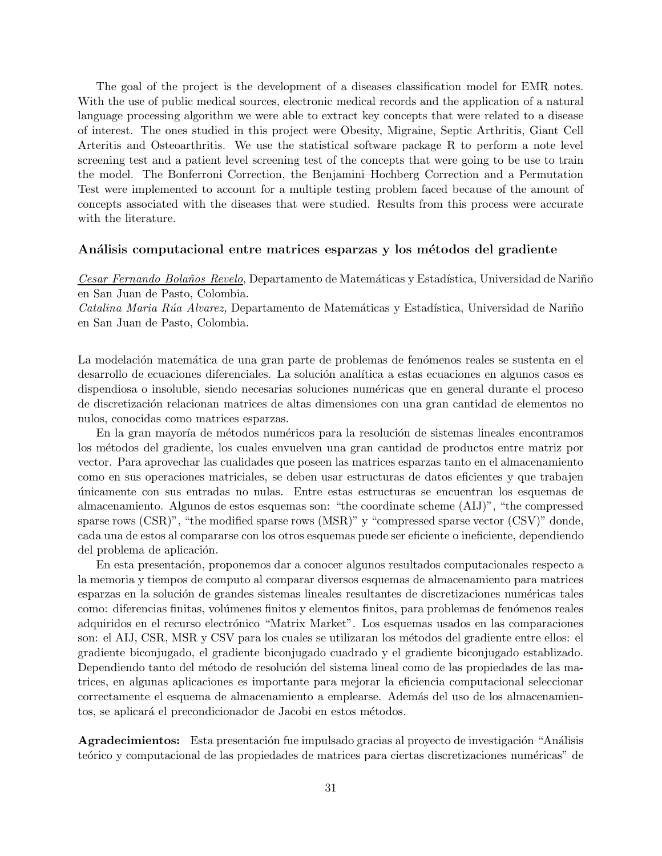The goal of the project is the development of a diseases classification model for EMR notes. With the use of public medical sources, electronic medical records and the application of a natural language processing algorithm we were able to extract key concepts that were related to a disease of interest. The ones studied in this project were Obesity, Migraine, Septic Arthritis, Giant Cell Arteritis and Osteoarthritis. We use the statistical software package R to perform a note level screening test and a patient level screening test of the concepts that were going to be use to train the model. The Bonferroni Correction, the Benjamini–Hochberg Correction and a Permutation Test were implemented to account for a multiple testing problem faced because of the amount of concepts associated with the diseases that were studied. Results from this process were accurate with the literature.

#### Análisis computacional entre matrices esparzas y los métodos del gradiente

Cesar Fernando Bolaños Revelo, Departamento de Matemáticas y Estadística, Universidad de Nariño en San Juan de Pasto, Colombia.

Catalina Maria Rúa Alvarez, Departamento de Matemáticas y Estadística, Universidad de Nariño en San Juan de Pasto, Colombia.

La modelación matemática de una gran parte de problemas de fenómenos reales se sustenta en el desarrollo de ecuaciones diferenciales. La solución analítica a estas ecuaciones en algunos casos es dispendiosa o insoluble, siendo necesarias soluciones numéricas que en general durante el proceso de discretización relacionan matrices de altas dimensiones con una gran cantidad de elementos no nulos, conocidas como matrices esparzas.

En la gran mayoría de métodos numéricos para la resolución de sistemas lineales encontramos los m´etodos del gradiente, los cuales envuelven una gran cantidad de productos entre matriz por vector. Para aprovechar las cualidades que poseen las matrices esparzas tanto en el almacenamiento como en sus operaciones matriciales, se deben usar estructuras de datos eficientes y que trabajen ´unicamente con sus entradas no nulas. Entre estas estructuras se encuentran los esquemas de almacenamiento. Algunos de estos esquemas son: "the coordinate scheme (AIJ)", "the compressed sparse rows (CSR)", "the modified sparse rows (MSR)" y "compressed sparse vector (CSV)" donde, cada una de estos al compararse con los otros esquemas puede ser eficiente o ineficiente, dependiendo del problema de aplicación.

En esta presentación, proponemos dar a conocer algunos resultados computacionales respecto a la memoria y tiempos de computo al comparar diversos esquemas de almacenamiento para matrices esparzas en la solución de grandes sistemas lineales resultantes de discretizaciones numéricas tales como: diferencias finitas, volúmenes finitos y elementos finitos, para problemas de fenómenos reales adquiridos en el recurso electrónico "Matrix Market". Los esquemas usados en las comparaciones son: el AIJ, CSR, MSR y CSV para los cuales se utilizaran los métodos del gradiente entre ellos: el gradiente biconjugado, el gradiente biconjugado cuadrado y el gradiente biconjugado establizado. Dependiendo tanto del método de resolución del sistema lineal como de las propiedades de las matrices, en algunas aplicaciones es importante para mejorar la eficiencia computacional seleccionar correctamente el esquema de almacenamiento a emplearse. Además del uso de los almacenamientos, se aplicará el precondicionador de Jacobi en estos métodos.

Agradecimientos: Esta presentación fue impulsado gracias al proyecto de investigación "Análisis teórico y computacional de las propiedades de matrices para ciertas discretizaciones numéricas" de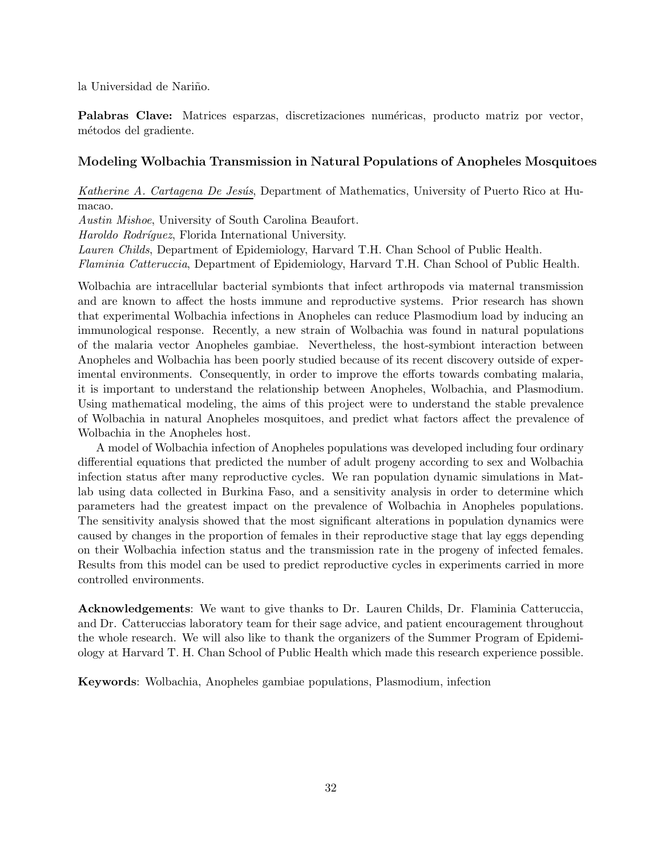la Universidad de Nariño.

Palabras Clave: Matrices esparzas, discretizaciones numéricas, producto matriz por vector, métodos del gradiente.

#### Modeling Wolbachia Transmission in Natural Populations of Anopheles Mosquitoes

Katherine A. Cartagena De Jesús, Department of Mathematics, University of Puerto Rico at Humacao.

Austin Mishoe, University of South Carolina Beaufort.

Haroldo Rodríguez, Florida International University.

Lauren Childs, Department of Epidemiology, Harvard T.H. Chan School of Public Health.

Flaminia Catteruccia, Department of Epidemiology, Harvard T.H. Chan School of Public Health.

Wolbachia are intracellular bacterial symbionts that infect arthropods via maternal transmission and are known to affect the hosts immune and reproductive systems. Prior research has shown that experimental Wolbachia infections in Anopheles can reduce Plasmodium load by inducing an immunological response. Recently, a new strain of Wolbachia was found in natural populations of the malaria vector Anopheles gambiae. Nevertheless, the host-symbiont interaction between Anopheles and Wolbachia has been poorly studied because of its recent discovery outside of experimental environments. Consequently, in order to improve the efforts towards combating malaria, it is important to understand the relationship between Anopheles, Wolbachia, and Plasmodium. Using mathematical modeling, the aims of this project were to understand the stable prevalence of Wolbachia in natural Anopheles mosquitoes, and predict what factors affect the prevalence of Wolbachia in the Anopheles host.

A model of Wolbachia infection of Anopheles populations was developed including four ordinary differential equations that predicted the number of adult progeny according to sex and Wolbachia infection status after many reproductive cycles. We ran population dynamic simulations in Matlab using data collected in Burkina Faso, and a sensitivity analysis in order to determine which parameters had the greatest impact on the prevalence of Wolbachia in Anopheles populations. The sensitivity analysis showed that the most significant alterations in population dynamics were caused by changes in the proportion of females in their reproductive stage that lay eggs depending on their Wolbachia infection status and the transmission rate in the progeny of infected females. Results from this model can be used to predict reproductive cycles in experiments carried in more controlled environments.

Acknowledgements: We want to give thanks to Dr. Lauren Childs, Dr. Flaminia Catteruccia, and Dr. Catteruccias laboratory team for their sage advice, and patient encouragement throughout the whole research. We will also like to thank the organizers of the Summer Program of Epidemiology at Harvard T. H. Chan School of Public Health which made this research experience possible.

Keywords: Wolbachia, Anopheles gambiae populations, Plasmodium, infection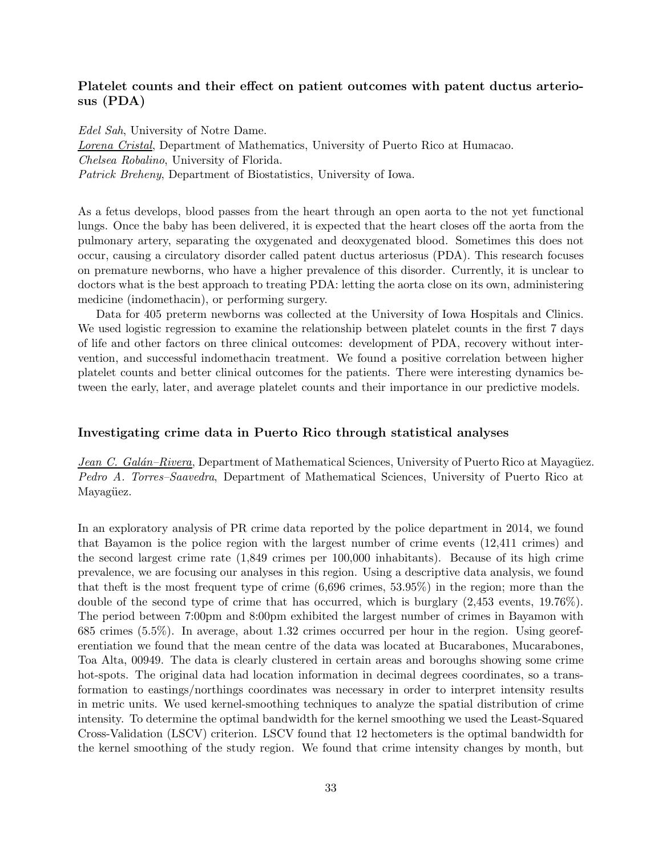## Platelet counts and their effect on patient outcomes with patent ductus arteriosus (PDA)

Edel Sah, University of Notre Dame. Lorena Cristal, Department of Mathematics, University of Puerto Rico at Humacao. Chelsea Robalino, University of Florida. Patrick Breheny, Department of Biostatistics, University of Iowa.

As a fetus develops, blood passes from the heart through an open aorta to the not yet functional lungs. Once the baby has been delivered, it is expected that the heart closes off the aorta from the pulmonary artery, separating the oxygenated and deoxygenated blood. Sometimes this does not occur, causing a circulatory disorder called patent ductus arteriosus (PDA). This research focuses on premature newborns, who have a higher prevalence of this disorder. Currently, it is unclear to doctors what is the best approach to treating PDA: letting the aorta close on its own, administering medicine (indomethacin), or performing surgery.

Data for 405 preterm newborns was collected at the University of Iowa Hospitals and Clinics. We used logistic regression to examine the relationship between platelet counts in the first 7 days of life and other factors on three clinical outcomes: development of PDA, recovery without intervention, and successful indomethacin treatment. We found a positive correlation between higher platelet counts and better clinical outcomes for the patients. There were interesting dynamics between the early, later, and average platelet counts and their importance in our predictive models.

#### Investigating crime data in Puerto Rico through statistical analyses

Jean C. Galán–Rivera, Department of Mathematical Sciences, University of Puerto Rico at Mayagüez. Pedro A. Torres–Saavedra, Department of Mathematical Sciences, University of Puerto Rico at Mayagüez.

In an exploratory analysis of PR crime data reported by the police department in 2014, we found that Bayamon is the police region with the largest number of crime events (12,411 crimes) and the second largest crime rate (1,849 crimes per 100,000 inhabitants). Because of its high crime prevalence, we are focusing our analyses in this region. Using a descriptive data analysis, we found that theft is the most frequent type of crime (6,696 crimes, 53.95%) in the region; more than the double of the second type of crime that has occurred, which is burglary (2,453 events, 19.76%). The period between 7:00pm and 8:00pm exhibited the largest number of crimes in Bayamon with 685 crimes (5.5%). In average, about 1.32 crimes occurred per hour in the region. Using georeferentiation we found that the mean centre of the data was located at Bucarabones, Mucarabones, Toa Alta, 00949. The data is clearly clustered in certain areas and boroughs showing some crime hot-spots. The original data had location information in decimal degrees coordinates, so a transformation to eastings/northings coordinates was necessary in order to interpret intensity results in metric units. We used kernel-smoothing techniques to analyze the spatial distribution of crime intensity. To determine the optimal bandwidth for the kernel smoothing we used the Least-Squared Cross-Validation (LSCV) criterion. LSCV found that 12 hectometers is the optimal bandwidth for the kernel smoothing of the study region. We found that crime intensity changes by month, but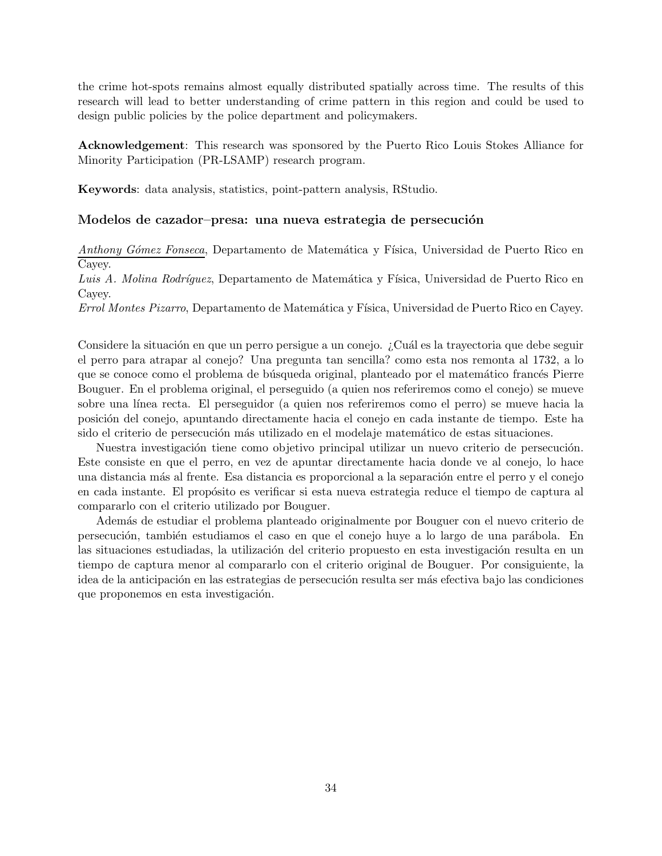the crime hot-spots remains almost equally distributed spatially across time. The results of this research will lead to better understanding of crime pattern in this region and could be used to design public policies by the police department and policymakers.

Acknowledgement: This research was sponsored by the Puerto Rico Louis Stokes Alliance for Minority Participation (PR-LSAMP) research program.

Keywords: data analysis, statistics, point-pattern analysis, RStudio.

#### Modelos de cazador–presa: una nueva estrategia de persecución

Anthony Gómez Fonseca, Departamento de Matemática y Física, Universidad de Puerto Rico en Cayey.

Luis A. Molina Rodríguez, Departamento de Matemática y Física, Universidad de Puerto Rico en Cayey.

Errol Montes Pizarro, Departamento de Matemática y Física, Universidad de Puerto Rico en Cayey.

Considere la situación en que un perro persigue a un conejo. ¿Cuál es la trayectoria que debe seguir el perro para atrapar al conejo? Una pregunta tan sencilla? como esta nos remonta al 1732, a lo que se conoce como el problema de búsqueda original, planteado por el matemático francés Pierre Bouguer. En el problema original, el perseguido (a quien nos referiremos como el conejo) se mueve sobre una línea recta. El perseguidor (a quien nos referiremos como el perro) se mueve hacia la posici´on del conejo, apuntando directamente hacia el conejo en cada instante de tiempo. Este ha sido el criterio de persecución más utilizado en el modelaje matemático de estas situaciones.

Nuestra investigación tiene como objetivo principal utilizar un nuevo criterio de persecución. Este consiste en que el perro, en vez de apuntar directamente hacia donde ve al conejo, lo hace una distancia más al frente. Esa distancia es proporcional a la separación entre el perro y el conejo en cada instante. El propósito es verificar si esta nueva estrategia reduce el tiempo de captura al compararlo con el criterio utilizado por Bouguer.

Adem´as de estudiar el problema planteado originalmente por Bouguer con el nuevo criterio de persecución, también estudiamos el caso en que el conejo huye a lo largo de una parábola. En las situaciones estudiadas, la utilización del criterio propuesto en esta investigación resulta en un tiempo de captura menor al compararlo con el criterio original de Bouguer. Por consiguiente, la idea de la anticipación en las estrategias de persecución resulta ser más efectiva bajo las condiciones que proponemos en esta investigación.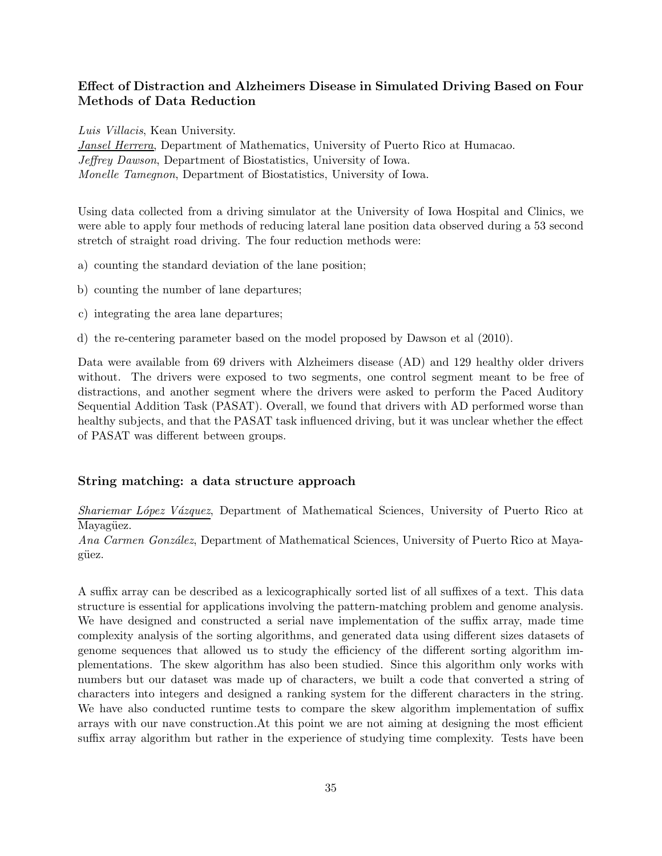## Effect of Distraction and Alzheimers Disease in Simulated Driving Based on Four Methods of Data Reduction

Luis Villacis, Kean University.

Jansel Herrera, Department of Mathematics, University of Puerto Rico at Humacao. Jeffrey Dawson, Department of Biostatistics, University of Iowa. Monelle Tamegnon, Department of Biostatistics, University of Iowa.

Using data collected from a driving simulator at the University of Iowa Hospital and Clinics, we were able to apply four methods of reducing lateral lane position data observed during a 53 second stretch of straight road driving. The four reduction methods were:

a) counting the standard deviation of the lane position;

b) counting the number of lane departures;

c) integrating the area lane departures;

d) the re-centering parameter based on the model proposed by Dawson et al (2010).

Data were available from 69 drivers with Alzheimers disease (AD) and 129 healthy older drivers without. The drivers were exposed to two segments, one control segment meant to be free of distractions, and another segment where the drivers were asked to perform the Paced Auditory Sequential Addition Task (PASAT). Overall, we found that drivers with AD performed worse than healthy subjects, and that the PASAT task influenced driving, but it was unclear whether the effect of PASAT was different between groups.

## String matching: a data structure approach

Shariemar López Vázquez, Department of Mathematical Sciences, University of Puerto Rico at Mayagüez.

Ana Carmen González, Department of Mathematical Sciences, University of Puerto Rico at Mayagüez.

A suffix array can be described as a lexicographically sorted list of all suffixes of a text. This data structure is essential for applications involving the pattern-matching problem and genome analysis. We have designed and constructed a serial nave implementation of the suffix array, made time complexity analysis of the sorting algorithms, and generated data using different sizes datasets of genome sequences that allowed us to study the efficiency of the different sorting algorithm implementations. The skew algorithm has also been studied. Since this algorithm only works with numbers but our dataset was made up of characters, we built a code that converted a string of characters into integers and designed a ranking system for the different characters in the string. We have also conducted runtime tests to compare the skew algorithm implementation of suffix arrays with our nave construction.At this point we are not aiming at designing the most efficient suffix array algorithm but rather in the experience of studying time complexity. Tests have been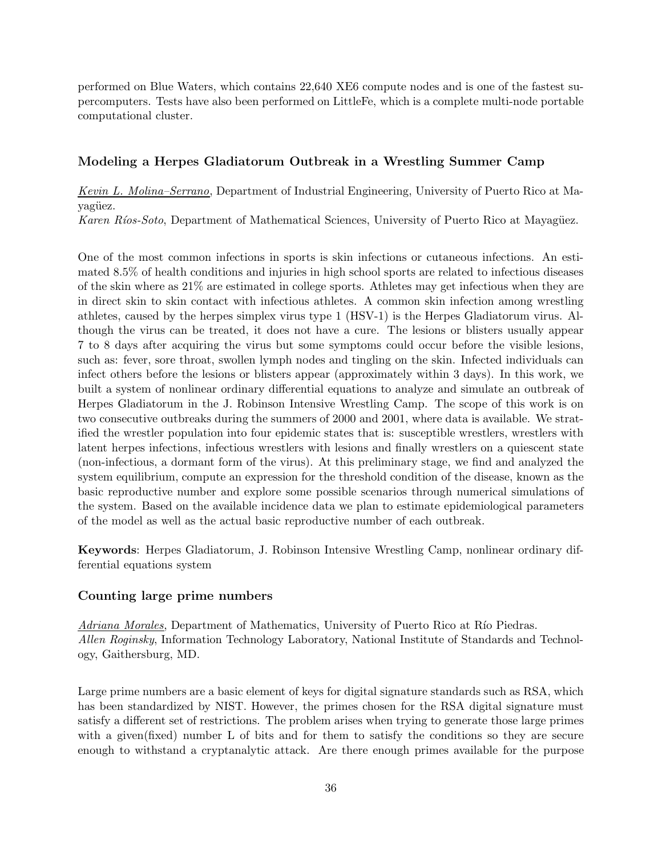performed on Blue Waters, which contains 22,640 XE6 compute nodes and is one of the fastest supercomputers. Tests have also been performed on LittleFe, which is a complete multi-node portable computational cluster.

#### Modeling a Herpes Gladiatorum Outbreak in a Wrestling Summer Camp

Kevin L. Molina–Serrano, Department of Industrial Engineering, University of Puerto Rico at Mayagüez.

Karen Ríos-Soto, Department of Mathematical Sciences, University of Puerto Rico at Mayagüez.

One of the most common infections in sports is skin infections or cutaneous infections. An estimated 8.5% of health conditions and injuries in high school sports are related to infectious diseases of the skin where as 21% are estimated in college sports. Athletes may get infectious when they are in direct skin to skin contact with infectious athletes. A common skin infection among wrestling athletes, caused by the herpes simplex virus type 1 (HSV-1) is the Herpes Gladiatorum virus. Although the virus can be treated, it does not have a cure. The lesions or blisters usually appear 7 to 8 days after acquiring the virus but some symptoms could occur before the visible lesions, such as: fever, sore throat, swollen lymph nodes and tingling on the skin. Infected individuals can infect others before the lesions or blisters appear (approximately within 3 days). In this work, we built a system of nonlinear ordinary differential equations to analyze and simulate an outbreak of Herpes Gladiatorum in the J. Robinson Intensive Wrestling Camp. The scope of this work is on two consecutive outbreaks during the summers of 2000 and 2001, where data is available. We stratified the wrestler population into four epidemic states that is: susceptible wrestlers, wrestlers with latent herpes infections, infectious wrestlers with lesions and finally wrestlers on a quiescent state (non-infectious, a dormant form of the virus). At this preliminary stage, we find and analyzed the system equilibrium, compute an expression for the threshold condition of the disease, known as the basic reproductive number and explore some possible scenarios through numerical simulations of the system. Based on the available incidence data we plan to estimate epidemiological parameters of the model as well as the actual basic reproductive number of each outbreak.

Keywords: Herpes Gladiatorum, J. Robinson Intensive Wrestling Camp, nonlinear ordinary differential equations system

#### Counting large prime numbers

Adriana Morales, Department of Mathematics, University of Puerto Rico at Río Piedras. Allen Roginsky, Information Technology Laboratory, National Institute of Standards and Technology, Gaithersburg, MD.

Large prime numbers are a basic element of keys for digital signature standards such as RSA, which has been standardized by NIST. However, the primes chosen for the RSA digital signature must satisfy a different set of restrictions. The problem arises when trying to generate those large primes with a given(fixed) number L of bits and for them to satisfy the conditions so they are secure enough to withstand a cryptanalytic attack. Are there enough primes available for the purpose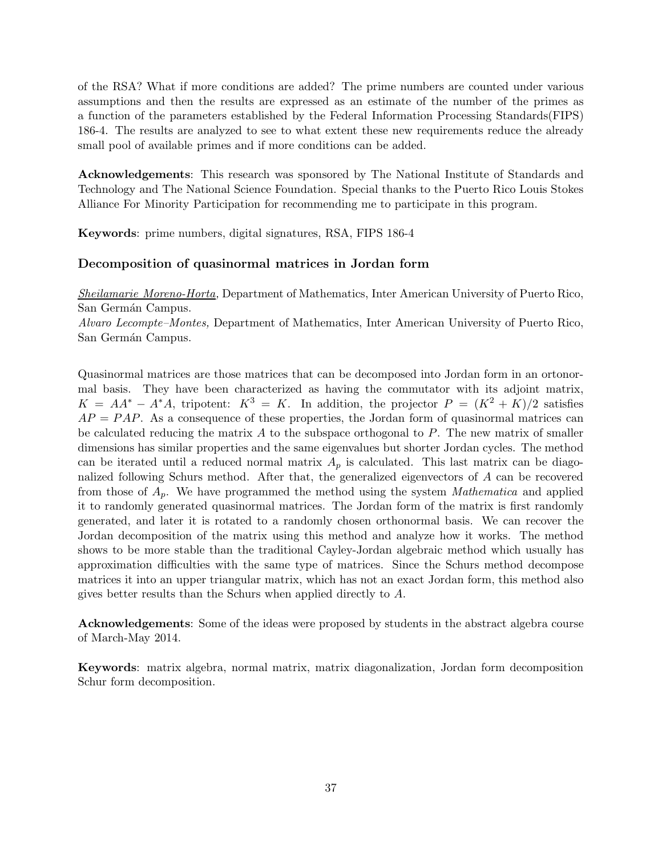of the RSA? What if more conditions are added? The prime numbers are counted under various assumptions and then the results are expressed as an estimate of the number of the primes as a function of the parameters established by the Federal Information Processing Standards(FIPS) 186-4. The results are analyzed to see to what extent these new requirements reduce the already small pool of available primes and if more conditions can be added.

Acknowledgements: This research was sponsored by The National Institute of Standards and Technology and The National Science Foundation. Special thanks to the Puerto Rico Louis Stokes Alliance For Minority Participation for recommending me to participate in this program.

Keywords: prime numbers, digital signatures, RSA, FIPS 186-4

#### Decomposition of quasinormal matrices in Jordan form

Sheilamarie Moreno-Horta, Department of Mathematics, Inter American University of Puerto Rico, San Germán Campus.

Alvaro Lecompte–Montes, Department of Mathematics, Inter American University of Puerto Rico, San Germán Campus.

Quasinormal matrices are those matrices that can be decomposed into Jordan form in an ortonormal basis. They have been characterized as having the commutator with its adjoint matrix,  $K = AA^* - A^*A$ , tripotent:  $K^3 = K$ . In addition, the projector  $P = (K^2 + K)/2$  satisfies  $AP = PAP$ . As a consequence of these properties, the Jordan form of quasinormal matrices can be calculated reducing the matrix  $A$  to the subspace orthogonal to  $P$ . The new matrix of smaller dimensions has similar properties and the same eigenvalues but shorter Jordan cycles. The method can be iterated until a reduced normal matrix  $A_p$  is calculated. This last matrix can be diagonalized following Schurs method. After that, the generalized eigenvectors of A can be recovered from those of  $A_p$ . We have programmed the method using the system *Mathematica* and applied it to randomly generated quasinormal matrices. The Jordan form of the matrix is first randomly generated, and later it is rotated to a randomly chosen orthonormal basis. We can recover the Jordan decomposition of the matrix using this method and analyze how it works. The method shows to be more stable than the traditional Cayley-Jordan algebraic method which usually has approximation difficulties with the same type of matrices. Since the Schurs method decompose matrices it into an upper triangular matrix, which has not an exact Jordan form, this method also gives better results than the Schurs when applied directly to A.

Acknowledgements: Some of the ideas were proposed by students in the abstract algebra course of March-May 2014.

Keywords: matrix algebra, normal matrix, matrix diagonalization, Jordan form decomposition Schur form decomposition.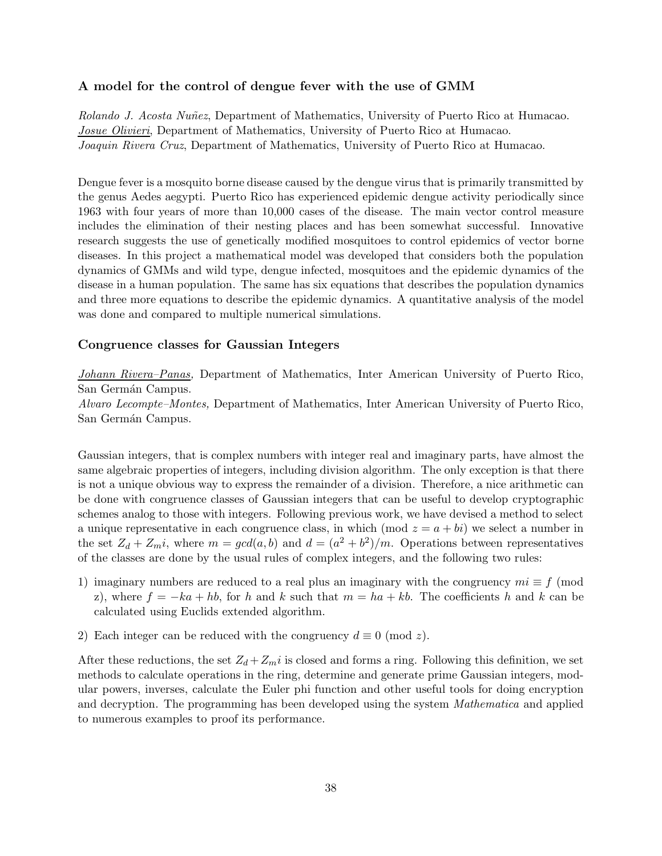#### A model for the control of dengue fever with the use of GMM

Rolando J. Acosta Nuñez, Department of Mathematics, University of Puerto Rico at Humacao. Josue Olivieri, Department of Mathematics, University of Puerto Rico at Humacao. Joaquin Rivera Cruz, Department of Mathematics, University of Puerto Rico at Humacao.

Dengue fever is a mosquito borne disease caused by the dengue virus that is primarily transmitted by the genus Aedes aegypti. Puerto Rico has experienced epidemic dengue activity periodically since 1963 with four years of more than 10,000 cases of the disease. The main vector control measure includes the elimination of their nesting places and has been somewhat successful. Innovative research suggests the use of genetically modified mosquitoes to control epidemics of vector borne diseases. In this project a mathematical model was developed that considers both the population dynamics of GMMs and wild type, dengue infected, mosquitoes and the epidemic dynamics of the disease in a human population. The same has six equations that describes the population dynamics and three more equations to describe the epidemic dynamics. A quantitative analysis of the model was done and compared to multiple numerical simulations.

#### Congruence classes for Gaussian Integers

Johann Rivera–Panas, Department of Mathematics, Inter American University of Puerto Rico, San Germán Campus.

Alvaro Lecompte–Montes, Department of Mathematics, Inter American University of Puerto Rico, San Germán Campus.

Gaussian integers, that is complex numbers with integer real and imaginary parts, have almost the same algebraic properties of integers, including division algorithm. The only exception is that there is not a unique obvious way to express the remainder of a division. Therefore, a nice arithmetic can be done with congruence classes of Gaussian integers that can be useful to develop cryptographic schemes analog to those with integers. Following previous work, we have devised a method to select a unique representative in each congruence class, in which (mod  $z = a + bi$ ) we select a number in the set  $Z_d + Z_m i$ , where  $m = gcd(a, b)$  and  $d = (a^2 + b^2)/m$ . Operations between representatives of the classes are done by the usual rules of complex integers, and the following two rules:

- 1) imaginary numbers are reduced to a real plus an imaginary with the congruency  $mi \equiv f \pmod{m}$ z), where  $f = -ka + hb$ , for h and k such that  $m = ha + kb$ . The coefficients h and k can be calculated using Euclids extended algorithm.
- 2) Each integer can be reduced with the congruency  $d \equiv 0 \pmod{z}$ .

After these reductions, the set  $Z_d + Z_m i$  is closed and forms a ring. Following this definition, we set methods to calculate operations in the ring, determine and generate prime Gaussian integers, modular powers, inverses, calculate the Euler phi function and other useful tools for doing encryption and decryption. The programming has been developed using the system Mathematica and applied to numerous examples to proof its performance.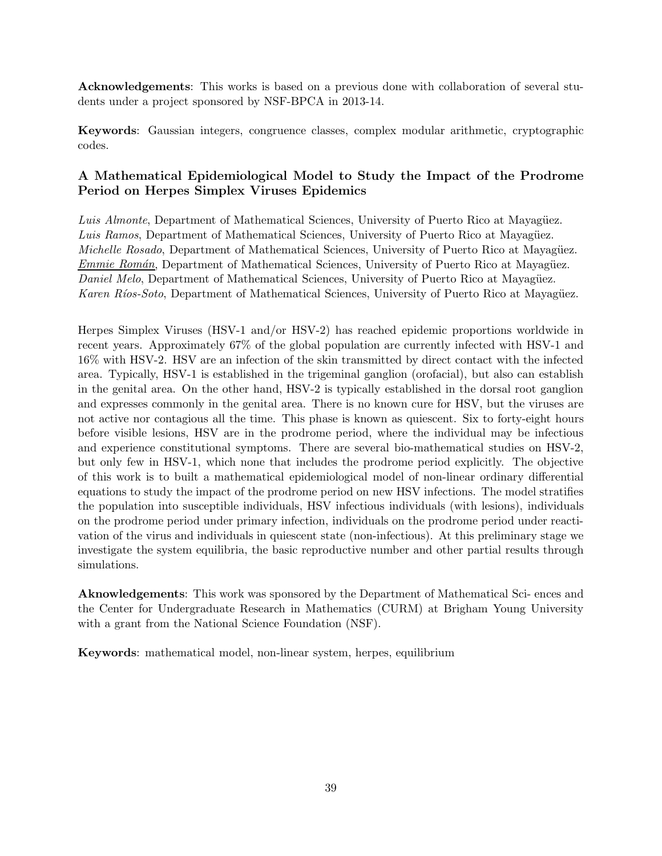Acknowledgements: This works is based on a previous done with collaboration of several students under a project sponsored by NSF-BPCA in 2013-14.

Keywords: Gaussian integers, congruence classes, complex modular arithmetic, cryptographic codes.

## A Mathematical Epidemiological Model to Study the Impact of the Prodrome Period on Herpes Simplex Viruses Epidemics

Luis Almonte, Department of Mathematical Sciences, University of Puerto Rico at Mayagüez. Luis Ramos, Department of Mathematical Sciences, University of Puerto Rico at Mayagüez. Michelle Rosado, Department of Mathematical Sciences, University of Puerto Rico at Mayagüez. Emmie Román, Department of Mathematical Sciences, University of Puerto Rico at Mayagüez. Daniel Melo, Department of Mathematical Sciences, University of Puerto Rico at Mayagüez. Karen Ríos-Soto, Department of Mathematical Sciences, University of Puerto Rico at Mayagüez.

Herpes Simplex Viruses (HSV-1 and/or HSV-2) has reached epidemic proportions worldwide in recent years. Approximately 67% of the global population are currently infected with HSV-1 and 16% with HSV-2. HSV are an infection of the skin transmitted by direct contact with the infected area. Typically, HSV-1 is established in the trigeminal ganglion (orofacial), but also can establish in the genital area. On the other hand, HSV-2 is typically established in the dorsal root ganglion and expresses commonly in the genital area. There is no known cure for HSV, but the viruses are not active nor contagious all the time. This phase is known as quiescent. Six to forty-eight hours before visible lesions, HSV are in the prodrome period, where the individual may be infectious and experience constitutional symptoms. There are several bio-mathematical studies on HSV-2, but only few in HSV-1, which none that includes the prodrome period explicitly. The objective of this work is to built a mathematical epidemiological model of non-linear ordinary differential equations to study the impact of the prodrome period on new HSV infections. The model stratifies the population into susceptible individuals, HSV infectious individuals (with lesions), individuals on the prodrome period under primary infection, individuals on the prodrome period under reactivation of the virus and individuals in quiescent state (non-infectious). At this preliminary stage we investigate the system equilibria, the basic reproductive number and other partial results through simulations.

Aknowledgements: This work was sponsored by the Department of Mathematical Sci- ences and the Center for Undergraduate Research in Mathematics (CURM) at Brigham Young University with a grant from the National Science Foundation (NSF).

Keywords: mathematical model, non-linear system, herpes, equilibrium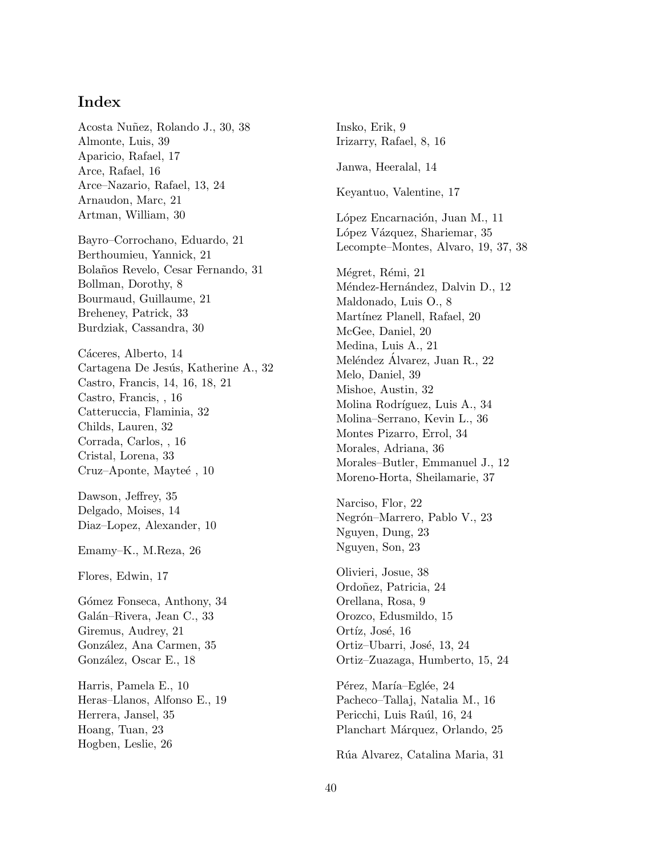## Index

Acosta Nuñez, Rolando J., 30, 38 Almonte, Luis, 39 Aparicio, Rafael, 17 Arce, Rafael, 16 Arce–Nazario, Rafael, 13, 24 Arnaudon, Marc, 21 Artman, William, 30

Bayro–Corrochano, Eduardo, 21 Berthoumieu, Yannick, 21 Bolaños Revelo, Cesar Fernando, 31 Bollman, Dorothy, 8 Bourmaud, Guillaume, 21 Breheney, Patrick, 33 Burdziak, Cassandra, 30

Cáceres, Alberto, 14 Cartagena De Jesús, Katherine A., 32 Castro, Francis, 14, 16, 18, 21 Castro, Francis, , 16 Catteruccia, Flaminia, 32 Childs, Lauren, 32 Corrada, Carlos, , 16 Cristal, Lorena, 33 Cruz–Aponte, Mayteé, 10

Dawson, Jeffrey, 35 Delgado, Moises, 14 Diaz–Lopez, Alexander, 10

Emamy–K., M.Reza, 26

Flores, Edwin, 17

Gómez Fonseca, Anthony, 34 Galán–Rivera, Jean C., 33 Giremus, Audrey, 21 González, Ana Carmen, 35 González, Oscar E., 18

Harris, Pamela E., 10 Heras–Llanos, Alfonso E., 19 Herrera, Jansel, 35 Hoang, Tuan, 23 Hogben, Leslie, 26

Insko, Erik, 9 Irizarry, Rafael, 8, 16 Janwa, Heeralal, 14 Keyantuo, Valentine, 17 López Encarnación, Juan M., 11 López Vázquez, Shariemar, 35 Lecompte–Montes, Alvaro, 19, 37, 38 Mégret, Rémi, 21 Méndez-Hernández, Dalvin D., 12 Maldonado, Luis O., 8 Martínez Planell, Rafael, 20 McGee, Daniel, 20 Medina, Luis A., 21 Meléndez Alvarez, Juan R., 22 Melo, Daniel, 39 Mishoe, Austin, 32 Molina Rodríguez, Luis A., 34 Molina–Serrano, Kevin L., 36 Montes Pizarro, Errol, 34 Morales, Adriana, 36 Morales–Butler, Emmanuel J., 12 Moreno-Horta, Sheilamarie, 37 Narciso, Flor, 22 Negrón–Marrero, Pablo V., 23 Nguyen, Dung, 23 Nguyen, Son, 23 Olivieri, Josue, 38 Ordoñez, Patricia, 24 Orellana, Rosa, 9 Orozco, Edusmildo, 15 Ortíz, José, 16 Ortiz–Ubarri, José, 13, 24 Ortiz–Zuazaga, Humberto, 15, 24

Pérez, María–Eglée, 24 Pacheco–Tallaj, Natalia M., 16 Pericchi, Luis Raúl, 16, 24 Planchart Márquez, Orlando, 25

Rúa Alvarez, Catalina Maria, 31